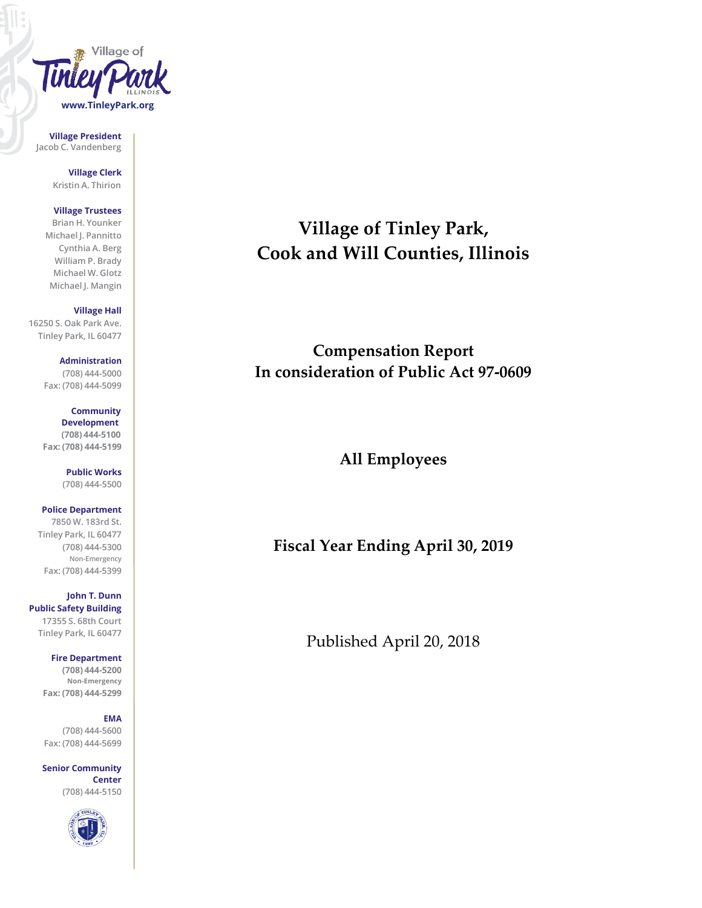

**Village President Jacob C. Vandenberg**

> **Village Clerk Kristin A. Thirion**

## **Village Trustees**

**Brian H. Younker Michael J. Pannitto Cynthia A. Berg William P. Brady Michael W. Glotz Michael J. Mangin**

# **Village Hall**

**16250 S. Oak Park Ave. Tinley Park, IL 60477**

> **Administration (708) 444-5000 Fax: (708) 444-5099**

> **Community Development (708) 444-5100 Fax: (708) 444-5199**

> > **Public Works (708) 444-5500**

**Police Department 7850 W. 183rd St. Tinley Park, IL 60477 (708) 444-5300 Non-Emergency Fax: (708) 444-5399**

**John T. Dunn Public Safety Building 17355 S. 68th Court Tinley Park, IL 60477**

> **Fire Department (708) 444-5200 Non-Emergency Fax: (708) 444-5299**

#### **EMA**

**(708) 444-5600 Fax: (708) 444-5699**

**Senior Community Center (708) 444-5150**



# **Village of Tinley Park, Cook and Will Counties, Illinois**

**Compensation Report In consideration of Public Act 97-0609**

**All Employees**

**Fiscal Year Ending April 30, 2019**

Published April 20, 2018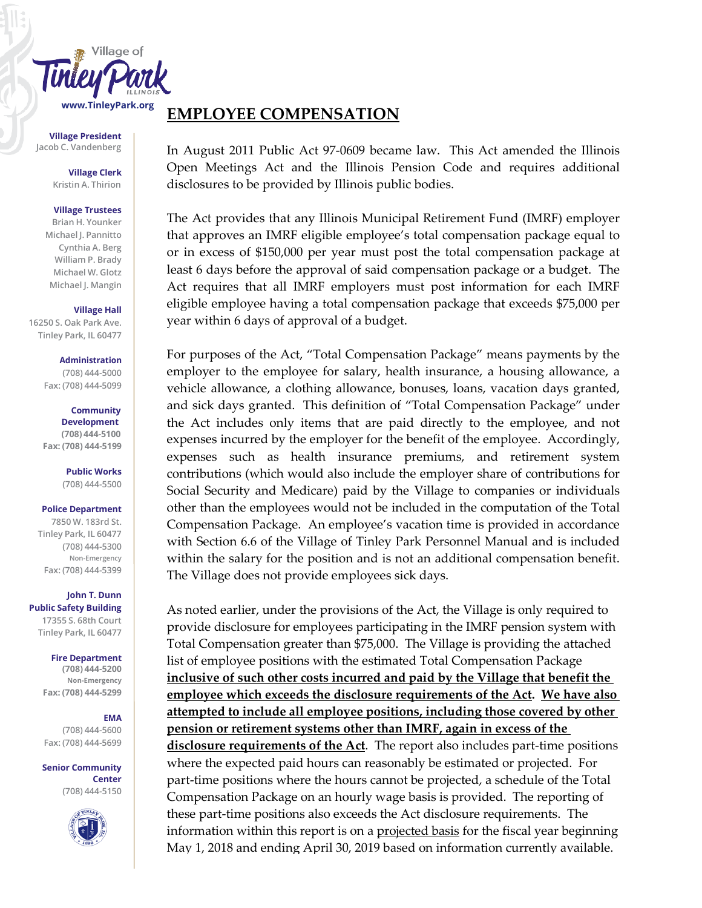

**Village President Jacob C. Vandenberg**

> **Village Clerk Kristin A. Thirion**

### **Village Trustees**

**Brian H. Younker Michael J. Pannitto Cynthia A. Berg William P. Brady Michael W. Glotz Michael J. Mangin**

### **Village Hall**

**16250 S. Oak Park Ave. Tinley Park, IL 60477**

#### **Administration (708) 444-5000**

**Fax: (708) 444-5099**

### **Community Development (708) 444-5100 Fax: (708) 444-5199**

**Public Works**

# **(708) 444-5500**

# **Police Department**

**7850 W. 183rd St. Tinley Park, IL 60477 (708) 444-5300 Non-Emergency Fax: (708) 444-5399**

**John T. Dunn Public Safety Building 17355 S. 68th Court Tinley Park, IL 60477**

### **Fire Department**

**(708) 444-5200 Non-Emergency Fax: (708) 444-5299**

# **EMA**

**(708) 444-5600 Fax: (708) 444-5699**

# **Senior Community**

**Center (708) 444-5150**



# **EMPLOYEE COMPENSATION**

In August 2011 Public Act 97-0609 became law. This Act amended the Illinois Open Meetings Act and the Illinois Pension Code and requires additional disclosures to be provided by Illinois public bodies.

The Act provides that any Illinois Municipal Retirement Fund (IMRF) employer that approves an IMRF eligible employee's total compensation package equal to or in excess of \$150,000 per year must post the total compensation package at least 6 days before the approval of said compensation package or a budget. The Act requires that all IMRF employers must post information for each IMRF eligible employee having a total compensation package that exceeds \$75,000 per year within 6 days of approval of a budget.

For purposes of the Act, "Total Compensation Package" means payments by the employer to the employee for salary, health insurance, a housing allowance, a vehicle allowance, a clothing allowance, bonuses, loans, vacation days granted, and sick days granted. This definition of "Total Compensation Package" under the Act includes only items that are paid directly to the employee, and not expenses incurred by the employer for the benefit of the employee. Accordingly, expenses such as health insurance premiums, and retirement system contributions (which would also include the employer share of contributions for Social Security and Medicare) paid by the Village to companies or individuals other than the employees would not be included in the computation of the Total Compensation Package. An employee's vacation time is provided in accordance with Section 6.6 of the Village of Tinley Park Personnel Manual and is included within the salary for the position and is not an additional compensation benefit. The Village does not provide employees sick days.

As noted earlier, under the provisions of the Act, the Village is only required to provide disclosure for employees participating in the IMRF pension system with Total Compensation greater than \$75,000. The Village is providing the attached list of employee positions with the estimated Total Compensation Package **inclusive of such other costs incurred and paid by the Village that benefit the employee which exceeds the disclosure requirements of the Act. We have also attempted to include all employee positions, including those covered by other pension or retirement systems other than IMRF, again in excess of the disclosure requirements of the Act**. The report also includes part-time positions where the expected paid hours can reasonably be estimated or projected. For part-time positions where the hours cannot be projected, a schedule of the Total Compensation Package on an hourly wage basis is provided. The reporting of these part-time positions also exceeds the Act disclosure requirements. The information within this report is on a projected basis for the fiscal year beginning May 1, 2018 and ending April 30, 2019 based on information currently available.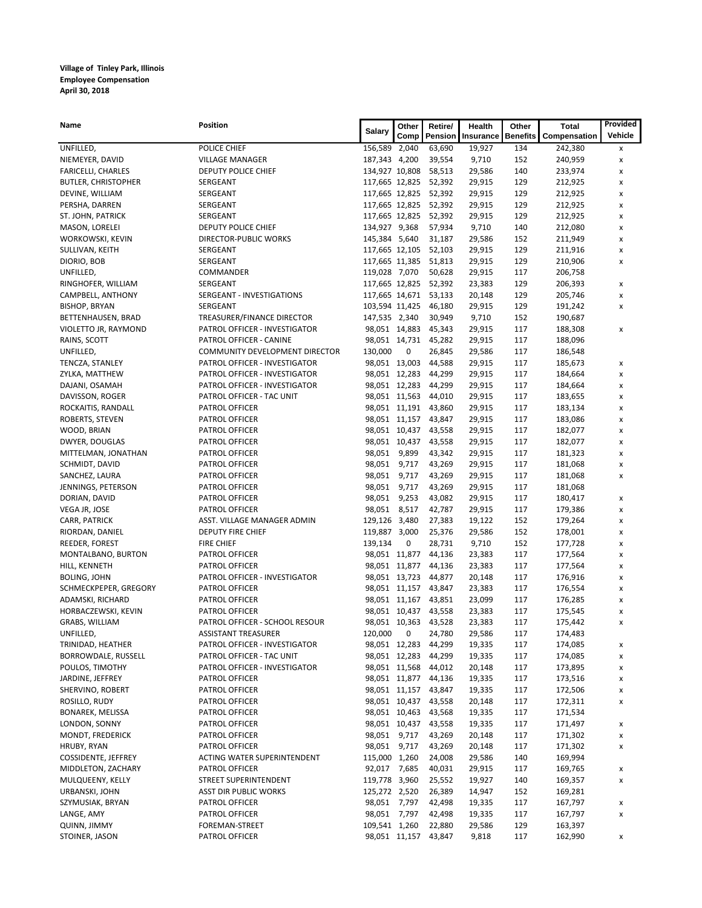| Name                                   | <b>Position</b>                               | <b>Salary</b>                   | Other         | Retire/               | Health           | Other           | Total              | Provided       |
|----------------------------------------|-----------------------------------------------|---------------------------------|---------------|-----------------------|------------------|-----------------|--------------------|----------------|
|                                        |                                               |                                 | Comp          | Pension               | Insurance        | <b>Benefits</b> | Compensation       | Vehicle        |
| UNFILLED,                              | POLICE CHIEF                                  | 156,589 2,040                   |               | 63,690                | 19,927           | 134             | 242,380            | x              |
| NIEMEYER, DAVID                        | <b>VILLAGE MANAGER</b>                        | 187,343 4,200                   |               | 39,554                | 9,710            | 152             | 240,959            | x              |
| <b>FARICELLI, CHARLES</b>              | DEPUTY POLICE CHIEF                           | 134,927 10,808                  |               | 58,513                | 29,586           | 140             | 233,974            | x              |
| <b>BUTLER, CHRISTOPHER</b>             | SERGEANT                                      |                                 |               | 117,665 12,825 52,392 | 29,915           | 129             | 212,925            | х              |
| DEVINE, WILLIAM                        | SERGEANT                                      | 117,665 12,825                  |               | 52,392                | 29,915           | 129             | 212,925            | x              |
| PERSHA, DARREN                         | SERGEANT                                      |                                 |               | 117,665 12,825 52,392 | 29,915           | 129             | 212,925            | x              |
| ST. JOHN, PATRICK                      | SERGEANT                                      |                                 |               | 117,665 12,825 52,392 | 29,915           | 129             | 212,925            | x              |
| MASON, LORELEI                         | DEPUTY POLICE CHIEF                           | 134,927 9,368                   |               | 57,934                | 9,710            | 140             | 212,080            | x              |
| WORKOWSKI, KEVIN                       | DIRECTOR-PUBLIC WORKS                         | 145,384 5,640                   |               | 31,187                | 29,586           | 152             | 211,949            | x              |
| SULLIVAN, KEITH                        | SERGEANT                                      | 117,665 12,105                  |               | 52,103                | 29,915           | 129             | 211,916            | x              |
| DIORIO, BOB<br>UNFILLED,               | SERGEANT                                      | 117,665 11,385                  |               | 51,813                | 29,915           | 129             | 210,906            | x              |
| RINGHOFER, WILLIAM                     | COMMANDER<br>SERGEANT                         | 119,028 7,070<br>117,665 12,825 |               | 50,628<br>52,392      | 29,915<br>23,383 | 117<br>129      | 206,758<br>206,393 |                |
| CAMPBELL, ANTHONY                      | SERGEANT - INVESTIGATIONS                     |                                 |               | 117,665 14,671 53,133 | 20,148           | 129             | 205,746            | х<br>x         |
| <b>BISHOP, BRYAN</b>                   | SERGEANT                                      |                                 |               | 103,594 11,425 46,180 | 29,915           | 129             | 191,242            | x              |
| BETTENHAUSEN, BRAD                     | TREASURER/FINANCE DIRECTOR                    | 147,535 2,340                   |               | 30,949                | 9,710            | 152             | 190,687            |                |
| VIOLETTO JR, RAYMOND                   | PATROL OFFICER - INVESTIGATOR                 |                                 | 98,051 14,883 | 45,343                | 29,915           | 117             | 188,308            | x              |
| RAINS, SCOTT                           | PATROL OFFICER - CANINE                       |                                 |               | 98,051 14,731 45,282  | 29,915           | 117             | 188,096            |                |
| UNFILLED,                              | COMMUNITY DEVELOPMENT DIRECTOR                | 130,000                         | 0             | 26,845                | 29,586           | 117             | 186,548            |                |
| TENCZA, STANLEY                        | PATROL OFFICER - INVESTIGATOR                 |                                 | 98,051 13,003 | 44,588                | 29,915           | 117             | 185,673            | x              |
| ZYLKA, MATTHEW                         | PATROL OFFICER - INVESTIGATOR                 |                                 | 98,051 12,283 | 44,299                | 29,915           | 117             | 184,664            | x              |
| DAJANI, OSAMAH                         | PATROL OFFICER - INVESTIGATOR                 |                                 | 98,051 12,283 | 44,299                | 29,915           | 117             | 184,664            | x              |
| DAVISSON, ROGER                        | PATROL OFFICER - TAC UNIT                     |                                 |               | 98,051 11,563 44,010  | 29,915           | 117             | 183,655            | x              |
| ROCKAITIS, RANDALL                     | PATROL OFFICER                                |                                 |               | 98,051 11,191 43,860  | 29,915           | 117             | 183,134            | x              |
| ROBERTS, STEVEN                        | PATROL OFFICER                                |                                 |               | 98,051 11,157 43,847  | 29,915           | 117             | 183,086            | x              |
| WOOD, BRIAN                            | PATROL OFFICER                                |                                 |               | 98,051 10,437 43,558  | 29,915           | 117             | 182,077            | x              |
| DWYER, DOUGLAS                         | PATROL OFFICER                                |                                 | 98,051 10,437 | 43,558                | 29,915           | 117             | 182,077            | x              |
| MITTELMAN, JONATHAN                    | PATROL OFFICER                                | 98,051 9,899                    |               | 43,342                | 29,915           | 117             | 181,323            | x              |
| SCHMIDT, DAVID                         | PATROL OFFICER                                | 98,051                          | 9,717         | 43,269                | 29,915           | 117             | 181,068            | x              |
| SANCHEZ, LAURA                         | PATROL OFFICER                                | 98,051                          | 9,717         | 43,269                | 29,915           | 117             | 181,068            | x              |
| JENNINGS, PETERSON                     | PATROL OFFICER                                | 98,051                          | 9,717         | 43,269                | 29,915           | 117             | 181,068            |                |
| DORIAN, DAVID                          | PATROL OFFICER                                | 98,051                          | 9,253         | 43,082                | 29,915           | 117             | 180,417            | x              |
| VEGA JR, JOSE                          | PATROL OFFICER                                | 98,051 8,517                    |               | 42,787                | 29,915           | 117             | 179,386            | x              |
| CARR, PATRICK                          | ASST. VILLAGE MANAGER ADMIN                   | 129,126 3,480                   |               | 27,383                | 19,122           | 152             | 179,264            | $\pmb{\times}$ |
| RIORDAN, DANIEL                        | DEPUTY FIRE CHIEF                             | 119,887 3,000                   |               | 25,376                | 29,586           | 152             | 178,001            | x              |
| REEDER, FOREST                         | FIRE CHIEF                                    | 139,134                         | 0             | 28,731                | 9,710            | 152             | 177,728            | x              |
| MONTALBANO, BURTON                     | PATROL OFFICER                                |                                 |               | 98,051 11,877 44,136  | 23,383           | 117             | 177,564            | x              |
| HILL, KENNETH                          | PATROL OFFICER                                |                                 |               | 98,051 11,877 44,136  | 23,383           | 117             | 177,564            | x              |
| <b>BOLING, JOHN</b>                    | PATROL OFFICER - INVESTIGATOR                 |                                 |               | 98,051 13,723 44,877  | 20,148           | 117             | 176,916            | x              |
| SCHMECKPEPER, GREGORY                  | PATROL OFFICER                                |                                 |               | 98,051 11,157 43,847  | 23,383           | 117             | 176,554            | x              |
| ADAMSKI, RICHARD                       | PATROL OFFICER                                |                                 |               | 98,051 11,167 43,851  | 23,099           | 117             | 176,285            | x              |
| HORBACZEWSKI, KEVIN                    | PATROL OFFICER                                |                                 |               | 98,051 10,437 43,558  | 23,383           | 117             | 175,545            | x              |
| GRABS, WILLIAM                         | PATROL OFFICER - SCHOOL RESOUR                |                                 |               | 98,051 10,363 43,528  | 23,383           | 117             | 175,442            | х              |
| UNFILLED,                              | <b>ASSISTANT TREASURER</b>                    | 120,000 0                       |               | 24,780                | 29,586           | 117             | 174,483            |                |
| TRINIDAD, HEATHER                      | PATROL OFFICER - INVESTIGATOR                 |                                 |               | 98,051 12,283 44,299  | 19,335           | 117             | 174,085            | x              |
| BORROWDALE, RUSSELL                    | PATROL OFFICER - TAC UNIT                     |                                 |               | 98,051 12,283 44,299  | 19,335           | 117             | 174,085            | x              |
| POULOS, TIMOTHY                        | PATROL OFFICER - INVESTIGATOR                 |                                 |               | 98,051 11,568 44,012  | 20,148           | 117             | 173,895            | x              |
| JARDINE, JEFFREY                       | PATROL OFFICER                                |                                 |               | 98,051 11,877 44,136  | 19,335           | 117             | 173,516            | x              |
| SHERVINO, ROBERT                       | PATROL OFFICER                                |                                 |               | 98,051 11,157 43,847  | 19,335           | 117             | 172,506            | x              |
| ROSILLO, RUDY                          | PATROL OFFICER                                |                                 |               | 98,051 10,437 43,558  | 20,148           | 117             | 172,311            | x              |
| BONAREK, MELISSA                       | PATROL OFFICER                                |                                 |               | 98,051 10,463 43,568  | 19,335           | 117             | 171,534            |                |
| LONDON, SONNY                          | PATROL OFFICER                                |                                 |               | 98,051 10,437 43,558  | 19,335           | 117             | 171,497            | x              |
| MONDT, FREDERICK                       | PATROL OFFICER                                | 98,051 9,717                    |               | 43,269                | 20,148           | 117             | 171,302            | x              |
| HRUBY, RYAN                            | PATROL OFFICER                                | 98,051 9,717                    |               | 43,269                | 20,148           | 117             | 171,302            | x              |
| COSSIDENTE, JEFFREY                    | ACTING WATER SUPERINTENDENT<br>PATROL OFFICER | 115,000 1,260<br>92,017 7,685   |               | 24,008<br>40,031      | 29,586<br>29,915 | 140<br>117      | 169,994<br>169,765 |                |
| MIDDLETON, ZACHARY<br>MULQUEENY, KELLY | STREET SUPERINTENDENT                         | 119,778 3,960                   |               | 25,552                | 19,927           | 140             | 169,357            | x              |
| URBANSKI, JOHN                         | <b>ASST DIR PUBLIC WORKS</b>                  | 125,272 2,520                   |               | 26,389                | 14,947           | 152             | 169,281            | x              |
| SZYMUSIAK, BRYAN                       | PATROL OFFICER                                | 98,051 7,797                    |               | 42,498                | 19,335           | 117             | 167,797            | x              |
| LANGE, AMY                             | PATROL OFFICER                                | 98,051 7,797                    |               | 42,498                | 19,335           | 117             | 167,797            | x              |
| QUINN, JIMMY                           | FOREMAN-STREET                                | 109,541 1,260                   |               | 22,880                | 29,586           | 129             | 163,397            |                |
| STOINER, JASON                         | PATROL OFFICER                                |                                 |               | 98,051 11,157 43,847  | 9,818            | 117             | 162,990            | x              |
|                                        |                                               |                                 |               |                       |                  |                 |                    |                |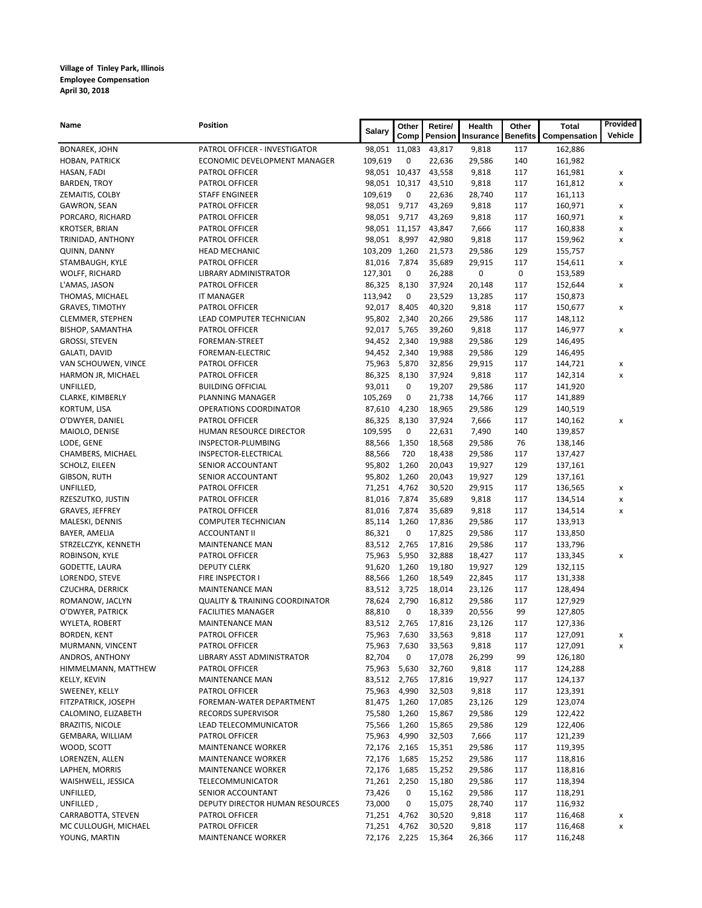| Name                                       | Position                                     | Salary                       | Other         | Retire/          | Health           | Other           | <b>Total</b>       | Provided |
|--------------------------------------------|----------------------------------------------|------------------------------|---------------|------------------|------------------|-----------------|--------------------|----------|
|                                            |                                              |                              | Comp          | Pension          | Insurance        | <b>Benefits</b> | Compensation       | Vehicle  |
| <b>BONAREK, JOHN</b>                       | PATROL OFFICER - INVESTIGATOR                |                              | 98,051 11,083 | 43,817           | 9,818            | 117             | 162,886            |          |
| HOBAN, PATRICK                             | ECONOMIC DEVELOPMENT MANAGER                 | 109,619                      | 0             | 22,636           | 29,586           | 140             | 161,982            |          |
| HASAN, FADI                                | <b>PATROL OFFICER</b>                        | 98,051 10,437                |               | 43,558           | 9,818            | 117             | 161,981            | x        |
| <b>BARDEN, TROY</b>                        | PATROL OFFICER                               | 98,051 10,317                |               | 43,510           | 9,818            | 117             | 161,812            | x        |
| ZEMAITIS, COLBY                            | <b>STAFF ENGINEER</b>                        | 109,619                      | 0             | 22,636           | 28,740           | 117             | 161,113            |          |
| GAWRON, SEAN                               | PATROL OFFICER                               | 98,051                       | 9,717         | 43,269           | 9,818            | 117             | 160,971            | x        |
| PORCARO, RICHARD                           | PATROL OFFICER                               | 98,051 9,717                 |               | 43,269           | 9,818            | 117             | 160,971            | x        |
| <b>KROTSER, BRIAN</b>                      | PATROL OFFICER                               |                              | 98,051 11,157 | 43,847           | 7,666            | 117             | 160,838            | x        |
| TRINIDAD, ANTHONY                          | PATROL OFFICER                               | 98,051                       | 8,997         | 42,980           | 9,818            | 117             | 159,962            | x        |
| QUINN, DANNY                               | <b>HEAD MECHANIC</b>                         | 103,209 1,260                |               | 21,573           | 29,586           | 129             | 155,757            |          |
| STAMBAUGH, KYLE                            | PATROL OFFICER                               | 81,016                       | 7,874         | 35,689           | 29,915           | 117             | 154,611            | x        |
| WOLFF, RICHARD                             | LIBRARY ADMINISTRATOR                        | 127,301                      | 0             | 26,288           | 0                | 0               | 153,589            |          |
| L'AMAS, JASON                              | PATROL OFFICER                               | 86,325                       | 8,130         | 37,924           | 20,148           | 117             | 152,644            | x        |
| THOMAS, MICHAEL                            | <b>IT MANAGER</b>                            | 113,942                      | 0             | 23,529           | 13,285           | 117             | 150,873            |          |
| <b>GRAVES, TIMOTHY</b>                     | PATROL OFFICER                               | 92,017                       | 8,405         | 40,320           | 9,818            | 117             | 150,677            | x        |
| CLEMMER, STEPHEN                           | LEAD COMPUTER TECHNICIAN                     | 95,802                       | 2,340         | 20,266           | 29,586           | 117             | 148,112            |          |
| <b>BISHOP, SAMANTHA</b>                    | PATROL OFFICER                               | 92,017                       | 5,765         | 39,260           | 9,818            | 117             | 146,977            | x        |
| <b>GROSSI, STEVEN</b>                      | FOREMAN-STREET                               | 94,452                       | 2,340         | 19,988           | 29,586           | 129             | 146,495            |          |
| GALATI, DAVID                              | FOREMAN-ELECTRIC                             | 94,452                       | 2,340         | 19,988           | 29,586           | 129             | 146,495            |          |
| VAN SCHOUWEN, VINCE                        | PATROL OFFICER                               | 75,963                       | 5,870         | 32,856           | 29,915           | 117             | 144,721            | x        |
| HARMON JR, MICHAEL                         | PATROL OFFICER                               | 86,325                       | 8,130<br>0    | 37,924           | 9,818            | 117             | 142,314            | x        |
| UNFILLED,<br>CLARKE, KIMBERLY              | <b>BUILDING OFFICIAL</b><br>PLANNING MANAGER | 93,011<br>105,269            | 0             | 19,207<br>21,738 | 29,586<br>14,766 | 117<br>117      | 141,920            |          |
| KORTUM, LISA                               | OPERATIONS COORDINATOR                       | 87,610                       | 4,230         | 18,965           | 29,586           | 129             | 141,889            |          |
| O'DWYER, DANIEL                            | <b>PATROL OFFICER</b>                        | 86,325                       | 8,130         | 37,924           | 7,666            | 117             | 140,519<br>140,162 |          |
| MAIOLO, DENISE                             | HUMAN RESOURCE DIRECTOR                      | 109,595                      | 0             | 22,631           | 7,490            | 140             | 139,857            | x        |
| LODE, GENE                                 | INSPECTOR-PLUMBING                           | 88,566                       | 1,350         | 18,568           | 29,586           | 76              | 138,146            |          |
| CHAMBERS, MICHAEL                          | INSPECTOR-ELECTRICAL                         | 88,566                       | 720           | 18,438           | 29,586           | 117             | 137,427            |          |
| SCHOLZ, EILEEN                             | SENIOR ACCOUNTANT                            | 95,802                       | 1,260         | 20,043           | 19,927           | 129             | 137,161            |          |
| GIBSON, RUTH                               | SENIOR ACCOUNTANT                            | 95,802                       | 1,260         | 20,043           | 19,927           | 129             | 137,161            |          |
| UNFILLED,                                  | PATROL OFFICER                               | 71,251                       | 4,762         | 30,520           | 29,915           | 117             | 136,565            | x        |
| RZESZUTKO, JUSTIN                          | PATROL OFFICER                               | 81,016                       | 7,874         | 35,689           | 9,818            | 117             | 134,514            | x        |
| GRAVES, JEFFREY                            | PATROL OFFICER                               | 81,016                       | 7,874         | 35,689           | 9,818            | 117             | 134,514            | x        |
| MALESKI, DENNIS                            | <b>COMPUTER TECHNICIAN</b>                   | 85,114                       | 1,260         | 17,836           | 29,586           | 117             | 133,913            |          |
| BAYER, AMELIA                              | <b>ACCOUNTANT II</b>                         | 86,321                       | 0             | 17,825           | 29,586           | 117             | 133,850            |          |
| STRZELCZYK, KENNETH                        | <b>MAINTENANCE MAN</b>                       | 83,512                       | 2,765         | 17,816           | 29,586           | 117             | 133,796            |          |
| ROBINSON, KYLE                             | PATROL OFFICER                               | 75,963                       | 5,950         | 32,888           | 18,427           | 117             | 133,345            | x        |
| GODETTE, LAURA                             | <b>DEPUTY CLERK</b>                          | 91,620                       | 1,260         | 19,180           | 19,927           | 129             | 132,115            |          |
| LORENDO, STEVE                             | FIRE INSPECTOR I                             | 88,566                       | 1,260         | 18,549           | 22,845           | 117             | 131,338            |          |
| <b>CZUCHRA, DERRICK</b>                    | <b>MAINTENANCE MAN</b>                       | 83,512                       | 3,725         | 18,014           | 23,126           | 117             | 128,494            |          |
| ROMANOW, JACLYN                            | <b>QUALITY &amp; TRAINING COORDINATOR</b>    | 78,624                       | 2,790         | 16,812           | 29,586           | 117             | 127,929            |          |
| O'DWYER, PATRICK                           | <b>FACILITIES MANAGER</b>                    | 88,810                       | 0             | 18,339           | 20,556           | 99              | 127,805            |          |
| WYLETA, ROBERT                             | <b>MAINTENANCE MAN</b>                       | 83,512 2,765                 |               | 17,816           | 23,126           | 117             | 127,336            |          |
| BORDEN, KENT                               | PATROL OFFICER                               | 75,963                       | 7,630         | 33,563           | 9,818            | 117             | 127,091            | x        |
| MURMANN, VINCENT                           | PATROL OFFICER                               | 75,963                       | 7,630         | 33,563           | 9,818            | 117             | 127,091            | X        |
| ANDROS, ANTHONY                            | LIBRARY ASST ADMINISTRATOR                   | 82,704                       | 0             | 17,078           | 26,299           | 99              | 126,180            |          |
| HIMMELMANN, MATTHEW                        | PATROL OFFICER                               | 75,963                       | 5,630         | 32,760           | 9,818            | 117             | 124,288            |          |
| KELLY, KEVIN                               | MAINTENANCE MAN                              | 83,512                       | 2,765         | 17,816           | 19,927           | 117             | 124,137            |          |
| SWEENEY, KELLY                             | PATROL OFFICER                               | 75,963                       | 4,990         | 32,503           | 9,818            | 117             | 123,391            |          |
| FITZPATRICK, JOSEPH                        | FOREMAN-WATER DEPARTMENT                     | 81,475                       | 1,260         | 17,085           | 23,126           | 129             | 123,074            |          |
| CALOMINO, ELIZABETH                        | <b>RECORDS SUPERVISOR</b>                    | 75,580                       | 1,260         | 15,867           | 29,586           | 129             | 122,422            |          |
| <b>BRAZITIS, NICOLE</b>                    | LEAD TELECOMMUNICATOR                        | 75,566                       | 1,260         | 15,865           | 29,586           | 129             | 122,406            |          |
| GEMBARA, WILLIAM                           | PATROL OFFICER                               | 75,963                       | 4,990         | 32,503           | 7,666            | 117             | 121,239            |          |
| WOOD, SCOTT                                | <b>MAINTENANCE WORKER</b>                    | 72,176                       | 2,165         | 15,351           | 29,586           | 117             | 119,395            |          |
| LORENZEN, ALLEN                            | <b>MAINTENANCE WORKER</b>                    | 72,176                       | 1,685         | 15,252           | 29,586           | 117             | 118,816            |          |
| LAPHEN, MORRIS                             | <b>MAINTENANCE WORKER</b>                    | 72,176                       | 1,685         | 15,252           | 29,586           | 117             | 118,816            |          |
| WAISHWELL, JESSICA                         | TELECOMMUNICATOR                             | 71,261                       | 2,250         | 15,180           | 29,586           | 117             | 118,394            |          |
| UNFILLED,                                  | SENIOR ACCOUNTANT                            | 73,426                       | 0             | 15,162           | 29,586           | 117             | 118,291            |          |
| UNFILLED,                                  | DEPUTY DIRECTOR HUMAN RESOURCES              | 73,000                       | 0             | 15,075           | 28,740           | 117             | 116,932            |          |
| CARRABOTTA, STEVEN<br>MC CULLOUGH, MICHAEL | PATROL OFFICER<br>PATROL OFFICER             | 71,251 4,762<br>71,251 4,762 |               | 30,520<br>30,520 | 9,818<br>9,818   | 117<br>117      | 116,468<br>116,468 | x<br>x   |
| YOUNG, MARTIN                              | MAINTENANCE WORKER                           | 72,176 2,225                 |               | 15,364           | 26,366           | 117             | 116,248            |          |
|                                            |                                              |                              |               |                  |                  |                 |                    |          |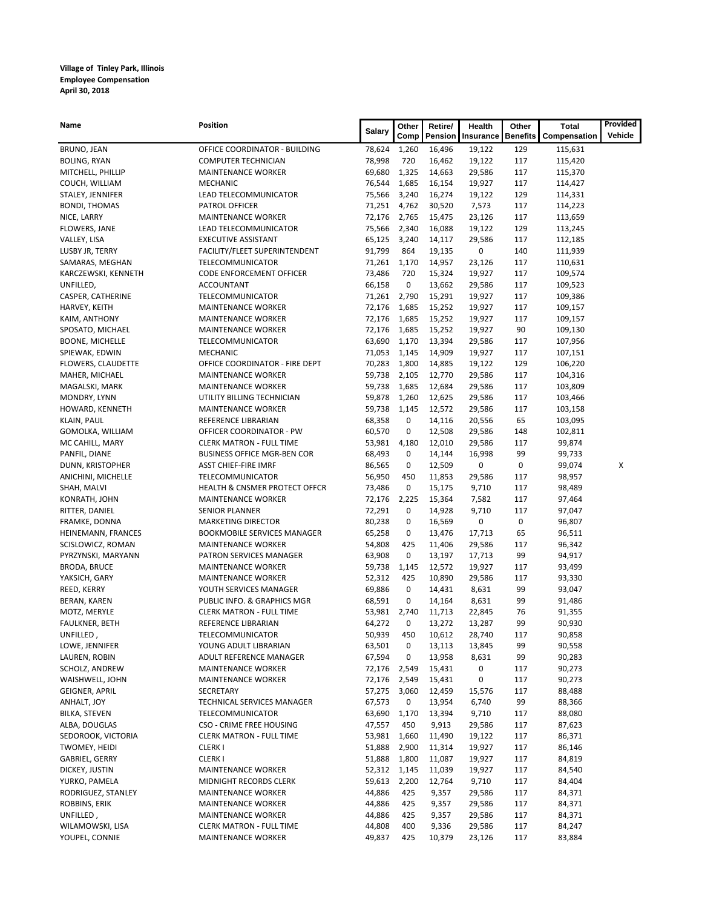| Name                   | Position                                 | Salary | Other | Retire/ | Health    | Other           | <b>Total</b> | Provided |
|------------------------|------------------------------------------|--------|-------|---------|-----------|-----------------|--------------|----------|
|                        |                                          |        | Comp  | Pension | Insurance | <b>Benefits</b> | Compensation | Vehicle  |
| BRUNO, JEAN            | OFFICE COORDINATOR - BUILDING            | 78,624 | 1,260 | 16,496  | 19,122    | 129             | 115,631      |          |
| <b>BOLING, RYAN</b>    | <b>COMPUTER TECHNICIAN</b>               | 78,998 | 720   | 16,462  | 19,122    | 117             | 115,420      |          |
| MITCHELL, PHILLIP      | <b>MAINTENANCE WORKER</b>                | 69,680 | 1,325 | 14,663  | 29,586    | 117             | 115,370      |          |
| COUCH, WILLIAM         | <b>MECHANIC</b>                          | 76,544 | 1,685 | 16,154  | 19,927    | 117             | 114,427      |          |
| STALEY, JENNIFER       | LEAD TELECOMMUNICATOR                    | 75,566 | 3,240 | 16,274  | 19,122    | 129             | 114,331      |          |
| <b>BONDI, THOMAS</b>   | PATROL OFFICER                           | 71,251 | 4,762 | 30,520  | 7,573     | 117             | 114,223      |          |
| NICE, LARRY            | <b>MAINTENANCE WORKER</b>                | 72,176 | 2,765 | 15,475  | 23,126    | 117             | 113,659      |          |
| FLOWERS, JANE          | LEAD TELECOMMUNICATOR                    | 75,566 | 2,340 | 16,088  | 19,122    | 129             | 113,245      |          |
| VALLEY, LISA           | <b>EXECUTIVE ASSISTANT</b>               | 65,125 | 3,240 | 14,117  | 29,586    | 117             | 112,185      |          |
| LUSBY JR, TERRY        | FACILITY/FLEET SUPERINTENDENT            | 91,799 | 864   | 19,135  | 0         | 140             | 111,939      |          |
| SAMARAS, MEGHAN        | TELECOMMUNICATOR                         | 71,261 | 1,170 | 14,957  | 23,126    | 117             | 110,631      |          |
| KARCZEWSKI, KENNETH    | <b>CODE ENFORCEMENT OFFICER</b>          | 73,486 | 720   | 15,324  | 19,927    | 117             | 109,574      |          |
| UNFILLED,              | <b>ACCOUNTANT</b>                        | 66,158 | 0     | 13,662  | 29,586    | 117             | 109,523      |          |
| CASPER, CATHERINE      | TELECOMMUNICATOR                         | 71,261 | 2,790 | 15,291  | 19,927    | 117             | 109,386      |          |
| HARVEY, KEITH          | <b>MAINTENANCE WORKER</b>                | 72,176 | 1,685 | 15,252  | 19,927    | 117             | 109,157      |          |
| KAIM, ANTHONY          | <b>MAINTENANCE WORKER</b>                | 72,176 | 1,685 | 15,252  | 19,927    | 117             | 109,157      |          |
| SPOSATO, MICHAEL       | <b>MAINTENANCE WORKER</b>                | 72,176 | 1,685 | 15,252  | 19,927    | 90              | 109,130      |          |
| <b>BOONE, MICHELLE</b> | TELECOMMUNICATOR                         | 63,690 | 1,170 | 13,394  | 29,586    | 117             | 107,956      |          |
| SPIEWAK, EDWIN         | MECHANIC                                 | 71,053 | 1,145 | 14,909  | 19,927    | 117             | 107,151      |          |
| FLOWERS, CLAUDETTE     | OFFICE COORDINATOR - FIRE DEPT           | 70,283 | 1,800 | 14,885  | 19,122    | 129             | 106,220      |          |
| MAHER, MICHAEL         | <b>MAINTENANCE WORKER</b>                | 59,738 | 2,105 | 12,770  | 29,586    | 117             | 104,316      |          |
| MAGALSKI, MARK         | <b>MAINTENANCE WORKER</b>                | 59,738 | 1,685 | 12,684  | 29,586    | 117             | 103,809      |          |
| MONDRY, LYNN           | UTILITY BILLING TECHNICIAN               | 59,878 | 1,260 | 12,625  | 29,586    | 117             | 103,466      |          |
| HOWARD, KENNETH        | <b>MAINTENANCE WORKER</b>                | 59,738 | 1,145 | 12,572  | 29,586    | 117             | 103,158      |          |
| KLAIN, PAUL            | REFERENCE LIBRARIAN                      | 68,358 | 0     | 14,116  | 20,556    | 65              | 103,095      |          |
| GOMOLKA, WILLIAM       | OFFICER COORDINATOR - PW                 | 60,570 | 0     | 12,508  | 29,586    | 148             | 102,811      |          |
| MC CAHILL, MARY        | <b>CLERK MATRON - FULL TIME</b>          | 53,981 | 4,180 | 12,010  | 29,586    | 117             | 99,874       |          |
| PANFIL, DIANE          | <b>BUSINESS OFFICE MGR-BEN COR</b>       | 68,493 | 0     | 14,144  | 16,998    | 99              | 99,733       |          |
| DUNN, KRISTOPHER       | <b>ASST CHIEF-FIRE IMRF</b>              | 86,565 | 0     | 12,509  | 0         | 0               | 99,074       | х        |
| ANICHINI, MICHELLE     | TELECOMMUNICATOR                         | 56,950 | 450   | 11,853  | 29,586    | 117             | 98,957       |          |
| SHAH, MALVI            | <b>HEALTH &amp; CNSMER PROTECT OFFCR</b> | 73,486 | 0     | 15,175  | 9,710     | 117             | 98,489       |          |
| KONRATH, JOHN          | <b>MAINTENANCE WORKER</b>                | 72,176 | 2,225 | 15,364  | 7,582     | 117             | 97,464       |          |
| RITTER, DANIEL         | <b>SENIOR PLANNER</b>                    | 72,291 | 0     | 14,928  | 9,710     | 117             | 97,047       |          |
| FRAMKE, DONNA          | <b>MARKETING DIRECTOR</b>                | 80,238 | 0     | 16,569  | 0         | 0               | 96,807       |          |
| HEINEMANN, FRANCES     | <b>BOOKMOBILE SERVICES MANAGER</b>       | 65,258 | 0     | 13,476  | 17,713    | 65              | 96,511       |          |
| SCISLOWICZ, ROMAN      | <b>MAINTENANCE WORKER</b>                | 54,808 | 425   | 11,406  | 29,586    | 117             | 96,342       |          |
| PYRZYNSKI, MARYANN     | PATRON SERVICES MANAGER                  | 63,908 | 0     | 13,197  | 17,713    | 99              | 94,917       |          |
| <b>BRODA, BRUCE</b>    | <b>MAINTENANCE WORKER</b>                | 59,738 | 1,145 | 12,572  | 19,927    | 117             | 93,499       |          |
| YAKSICH, GARY          | <b>MAINTENANCE WORKER</b>                | 52,312 | 425   | 10,890  | 29,586    | 117             | 93,330       |          |
| REED, KERRY            | YOUTH SERVICES MANAGER                   | 69,886 | 0     | 14,431  | 8,631     | 99              | 93,047       |          |
| BERAN, KAREN           | PUBLIC INFO. & GRAPHICS MGR              | 68,591 | 0     | 14,164  | 8,631     | 99              | 91,486       |          |
| MOTZ, MERYLE           | <b>CLERK MATRON - FULL TIME</b>          | 53,981 | 2,740 | 11,713  | 22,845    | 76              | 91,355       |          |
| FAULKNER, BETH         | REFERENCE LIBRARIAN                      | 64,272 | 0     | 13,272  | 13,287    | 99              | 90,930       |          |
| UNFILLED,              | TELECOMMUNICATOR                         | 50,939 | 450   | 10,612  | 28,740    | 117             | 90,858       |          |
| LOWE, JENNIFER         | YOUNG ADULT LIBRARIAN                    | 63,501 | 0     | 13,113  | 13,845    | 99              | 90,558       |          |
| LAUREN, ROBIN          | ADULT REFERENCE MANAGER                  | 67,594 | 0     | 13,958  | 8,631     | 99              | 90,283       |          |
| SCHOLZ, ANDREW         | <b>MAINTENANCE WORKER</b>                | 72,176 | 2,549 | 15,431  | 0         | 117             | 90,273       |          |
| WAISHWELL, JOHN        | <b>MAINTENANCE WORKER</b>                | 72,176 | 2,549 | 15,431  | 0         | 117             | 90,273       |          |
| <b>GEIGNER, APRIL</b>  | SECRETARY                                | 57,275 | 3,060 | 12,459  | 15,576    | 117             | 88,488       |          |
| ANHALT, JOY            | TECHNICAL SERVICES MANAGER               | 67,573 | 0     | 13,954  | 6,740     | 99              | 88,366       |          |
| <b>BILKA, STEVEN</b>   | TELECOMMUNICATOR                         | 63,690 | 1,170 | 13,394  | 9,710     | 117             | 88,080       |          |
| ALBA, DOUGLAS          | CSO - CRIME FREE HOUSING                 | 47,557 | 450   | 9,913   | 29,586    | 117             | 87,623       |          |
| SEDOROOK, VICTORIA     | <b>CLERK MATRON - FULL TIME</b>          | 53,981 | 1,660 | 11,490  | 19,122    | 117             | 86,371       |          |
| TWOMEY, HEIDI          | <b>CLERKI</b>                            | 51,888 | 2,900 | 11,314  | 19,927    | 117             | 86,146       |          |
| GABRIEL, GERRY         | <b>CLERKI</b>                            | 51,888 | 1,800 | 11,087  | 19,927    | 117             | 84,819       |          |
| DICKEY, JUSTIN         | <b>MAINTENANCE WORKER</b>                | 52,312 | 1,145 | 11,039  | 19,927    | 117             | 84,540       |          |
| YURKO, PAMELA          | MIDNIGHT RECORDS CLERK                   | 59,613 | 2,200 | 12,764  | 9,710     | 117             | 84,404       |          |
| RODRIGUEZ, STANLEY     | <b>MAINTENANCE WORKER</b>                | 44,886 | 425   | 9,357   | 29,586    | 117             | 84,371       |          |
| ROBBINS, ERIK          | <b>MAINTENANCE WORKER</b>                | 44,886 | 425   | 9,357   | 29,586    | 117             | 84,371       |          |
| UNFILLED,              | <b>MAINTENANCE WORKER</b>                | 44,886 | 425   | 9,357   | 29,586    | 117             | 84,371       |          |
| WILAMOWSKI, LISA       | <b>CLERK MATRON - FULL TIME</b>          | 44,808 | 400   | 9,336   | 29,586    | 117             | 84,247       |          |
| YOUPEL, CONNIE         | MAINTENANCE WORKER                       | 49,837 | 425   | 10,379  | 23,126    | 117             | 83,884       |          |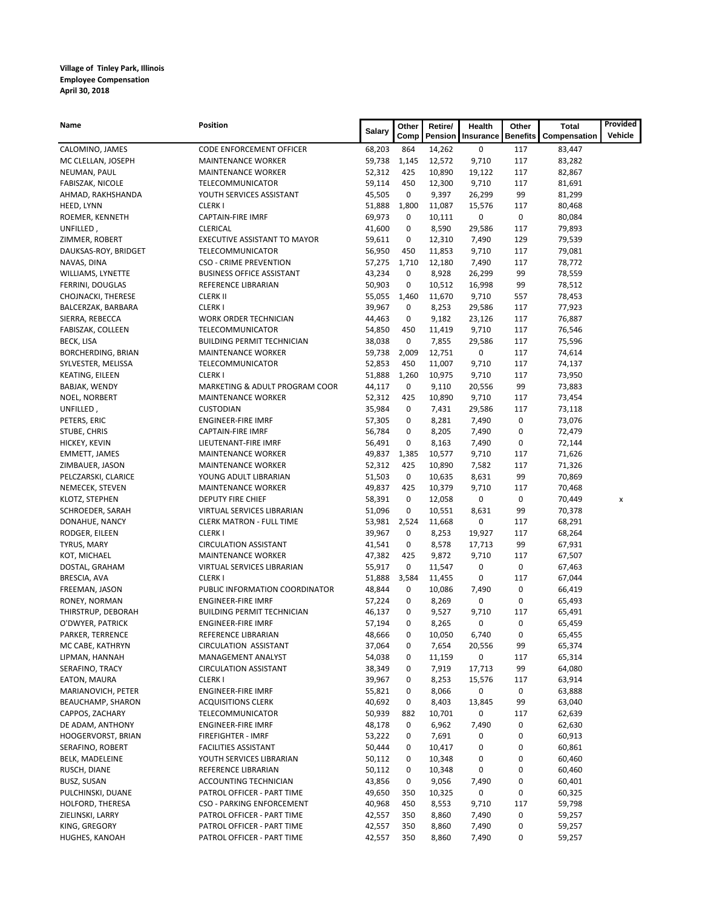| Name                                | Position                                          | Salary           | Other        | Retire/          | Health          | Other           | <b>Total</b>     | Provided |
|-------------------------------------|---------------------------------------------------|------------------|--------------|------------------|-----------------|-----------------|------------------|----------|
|                                     |                                                   |                  | Comp         | Pension          | Insurance       | <b>Benefits</b> | Compensation     | Vehicle  |
| CALOMINO, JAMES                     | CODE ENFORCEMENT OFFICER                          | 68,203           | 864          | 14,262           | 0               | 117             | 83,447           |          |
| MC CLELLAN, JOSEPH                  | <b>MAINTENANCE WORKER</b>                         | 59,738           | 1,145        | 12,572           | 9,710           | 117             | 83,282           |          |
| NEUMAN, PAUL                        | <b>MAINTENANCE WORKER</b>                         | 52,312           | 425          | 10,890           | 19,122          | 117             | 82,867           |          |
| FABISZAK, NICOLE                    | TELECOMMUNICATOR                                  | 59,114           | 450          | 12,300           | 9,710           | 117             | 81,691           |          |
| AHMAD, RAKHSHANDA                   | YOUTH SERVICES ASSISTANT                          | 45,505           | 0            | 9,397            | 26,299          | 99              | 81,299           |          |
| HEED, LYNN                          | <b>CLERKI</b>                                     | 51,888           | 1,800        | 11,087           | 15,576          | 117             | 80,468           |          |
| ROEMER, KENNETH                     | <b>CAPTAIN-FIRE IMRF</b>                          | 69,973           | 0            | 10,111           | 0               | 0               | 80,084           |          |
| UNFILLED,                           | <b>CLERICAL</b>                                   | 41,600           | 0            | 8,590            | 29,586          | 117             | 79,893           |          |
| ZIMMER, ROBERT                      | EXECUTIVE ASSISTANT TO MAYOR                      | 59,611           | 0            | 12,310           | 7,490           | 129             | 79,539           |          |
| DAUKSAS-ROY, BRIDGET<br>NAVAS, DINA | TELECOMMUNICATOR<br><b>CSO - CRIME PREVENTION</b> | 56,950<br>57,275 | 450<br>1,710 | 11,853<br>12,180 | 9,710           | 117<br>117      | 79,081<br>78,772 |          |
| WILLIAMS, LYNETTE                   | <b>BUSINESS OFFICE ASSISTANT</b>                  | 43,234           | 0            | 8,928            | 7,490<br>26,299 | 99              | 78,559           |          |
| FERRINI, DOUGLAS                    | REFERENCE LIBRARIAN                               | 50,903           | 0            | 10,512           | 16,998          | 99              | 78,512           |          |
| CHOJNACKI, THERESE                  | <b>CLERK II</b>                                   | 55,055           | 1,460        | 11,670           | 9,710           | 557             | 78,453           |          |
| BALCERZAK, BARBARA                  | <b>CLERKI</b>                                     | 39,967           | 0            | 8,253            | 29,586          | 117             | 77,923           |          |
| SIERRA, REBECCA                     | <b>WORK ORDER TECHNICIAN</b>                      | 44,463           | 0            | 9,182            | 23,126          | 117             | 76,887           |          |
| FABISZAK, COLLEEN                   | TELECOMMUNICATOR                                  | 54,850           | 450          | 11,419           | 9,710           | 117             | 76,546           |          |
| BECK, LISA                          | <b>BUILDING PERMIT TECHNICIAN</b>                 | 38,038           | 0            | 7,855            | 29,586          | 117             | 75,596           |          |
| BORCHERDING, BRIAN                  | <b>MAINTENANCE WORKER</b>                         | 59,738           | 2,009        | 12,751           | 0               | 117             | 74,614           |          |
| SYLVESTER, MELISSA                  | TELECOMMUNICATOR                                  | 52,853           | 450          | 11,007           | 9,710           | 117             | 74,137           |          |
| KEATING, EILEEN                     | <b>CLERKI</b>                                     | 51,888           | 1,260        | 10,975           | 9,710           | 117             | 73,950           |          |
| BABJAK, WENDY                       | MARKETING & ADULT PROGRAM COOR                    | 44,117           | 0            | 9,110            | 20,556          | 99              | 73,883           |          |
| NOEL, NORBERT                       | <b>MAINTENANCE WORKER</b>                         | 52,312           | 425          | 10,890           | 9,710           | 117             | 73,454           |          |
| UNFILLED,                           | <b>CUSTODIAN</b>                                  | 35,984           | 0            | 7,431            | 29,586          | 117             | 73,118           |          |
| PETERS, ERIC                        | <b>ENGINEER-FIRE IMRF</b>                         | 57,305           | 0            | 8,281            | 7,490           | 0               | 73,076           |          |
| STUBE, CHRIS                        | <b>CAPTAIN-FIRE IMRF</b>                          | 56,784           | 0            | 8,205            | 7,490           | 0               | 72,479           |          |
| HICKEY, KEVIN                       | LIEUTENANT-FIRE IMRF                              | 56,491           | 0            | 8,163            | 7,490           | 0               | 72,144           |          |
| <b>EMMETT, JAMES</b>                | <b>MAINTENANCE WORKER</b>                         | 49,837           | 1,385        | 10,577           | 9,710           | 117             | 71,626           |          |
| ZIMBAUER, JASON                     | <b>MAINTENANCE WORKER</b>                         | 52,312           | 425          | 10,890           | 7,582           | 117             | 71,326           |          |
| PELCZARSKI, CLARICE                 | YOUNG ADULT LIBRARIAN                             | 51,503           | 0            | 10,635           | 8,631           | 99              | 70,869           |          |
| NEMECEK, STEVEN                     | <b>MAINTENANCE WORKER</b>                         | 49,837           | 425          | 10,379           | 9,710           | 117             | 70,468           |          |
| KLOTZ, STEPHEN                      | DEPUTY FIRE CHIEF                                 | 58,391           | 0            | 12,058           | 0               | 0               | 70,449           | x        |
| SCHROEDER, SARAH                    | VIRTUAL SERVICES LIBRARIAN                        | 51,096           | 0            | 10,551           | 8,631           | 99              | 70,378           |          |
| DONAHUE, NANCY                      | <b>CLERK MATRON - FULL TIME</b>                   | 53,981           | 2,524        | 11,668           | 0               | 117             | 68,291           |          |
| RODGER, EILEEN                      | <b>CLERKI</b>                                     | 39,967           | 0            | 8,253            | 19,927          | 117             | 68,264           |          |
| TYRUS, MARY                         | <b>CIRCULATION ASSISTANT</b>                      | 41,541           | 0            | 8,578            | 17,713          | 99              | 67,931           |          |
| KOT, MICHAEL                        | <b>MAINTENANCE WORKER</b>                         | 47,382           | 425          | 9,872            | 9,710           | 117<br>0        | 67,507           |          |
| DOSTAL, GRAHAM                      | VIRTUAL SERVICES LIBRARIAN<br><b>CLERKI</b>       | 55,917           | 0<br>3,584   | 11,547           | 0<br>0          | 117             | 67,463           |          |
| BRESCIA, AVA<br>FREEMAN, JASON      | PUBLIC INFORMATION COORDINATOR                    | 51,888<br>48,844 | 0            | 11,455<br>10,086 | 7,490           | 0               | 67,044           |          |
| RONEY, NORMAN                       | <b>ENGINEER-FIRE IMRF</b>                         | 57,224           | 0            | 8,269            | 0               | 0               | 66,419<br>65,493 |          |
| THIRSTRUP, DEBORAH                  | <b>BUILDING PERMIT TECHNICIAN</b>                 | 46,137           | 0            | 9,527            | 9,710           | 117             | 65,491           |          |
| O'DWYER, PATRICK                    | <b>ENGINEER-FIRE IMRF</b>                         | 57,194           | 0            | 8,265            | 0               | 0               | 65,459           |          |
| PARKER, TERRENCE                    | REFERENCE LIBRARIAN                               | 48,666           | 0            | 10,050           | 6,740           | 0               | 65,455           |          |
| MC CABE, KATHRYN                    | <b>CIRCULATION ASSISTANT</b>                      | 37,064           | 0            | 7,654            | 20,556          | 99              | 65,374           |          |
| LIPMAN, HANNAH                      | MANAGEMENT ANALYST                                | 54,038           | 0            | 11,159           | 0               | 117             | 65,314           |          |
| SERAFINO, TRACY                     | <b>CIRCULATION ASSISTANT</b>                      | 38,349           | 0            | 7,919            | 17,713          | 99              | 64,080           |          |
| EATON, MAURA                        | <b>CLERKI</b>                                     | 39,967           | 0            | 8,253            | 15,576          | 117             | 63,914           |          |
| MARIANOVICH, PETER                  | <b>ENGINEER-FIRE IMRF</b>                         | 55,821           | 0            | 8,066            | 0               | 0               | 63,888           |          |
| BEAUCHAMP, SHARON                   | <b>ACQUISITIONS CLERK</b>                         | 40,692           | 0            | 8,403            | 13,845          | 99              | 63,040           |          |
| CAPPOS, ZACHARY                     | TELECOMMUNICATOR                                  | 50,939           | 882          | 10,701           | 0               | 117             | 62,639           |          |
| DE ADAM, ANTHONY                    | <b>ENGINEER-FIRE IMRF</b>                         | 48,178           | 0            | 6,962            | 7,490           | 0               | 62,630           |          |
| HOOGERVORST, BRIAN                  | FIREFIGHTER - IMRF                                | 53,222           | 0            | 7,691            | 0               | 0               | 60,913           |          |
| SERAFINO, ROBERT                    | <b>FACILITIES ASSISTANT</b>                       | 50,444           | 0            | 10,417           | 0               | 0               | 60,861           |          |
| BELK, MADELEINE                     | YOUTH SERVICES LIBRARIAN                          | 50,112           | 0            | 10,348           | 0               | 0               | 60,460           |          |
| RUSCH, DIANE                        | REFERENCE LIBRARIAN                               | 50,112           | 0            | 10,348           | 0               | 0               | 60,460           |          |
| BUSZ, SUSAN                         | ACCOUNTING TECHNICIAN                             | 43,856           | 0            | 9,056            | 7,490           | 0               | 60,401           |          |
| PULCHINSKI, DUANE                   | PATROL OFFICER - PART TIME                        | 49,650           | 350          | 10,325           | 0               | 0               | 60,325           |          |
| HOLFORD, THERESA                    | CSO - PARKING ENFORCEMENT                         | 40,968           | 450          | 8,553            | 9,710           | 117             | 59,798           |          |
| ZIELINSKI, LARRY                    | PATROL OFFICER - PART TIME                        | 42,557           | 350          | 8,860            | 7,490           | 0               | 59,257           |          |
| KING, GREGORY                       | PATROL OFFICER - PART TIME                        | 42,557           | 350          | 8,860            | 7,490           | 0               | 59,257           |          |
| HUGHES, KANOAH                      | PATROL OFFICER - PART TIME                        | 42,557           | 350          | 8,860            | 7,490           | 0               | 59,257           |          |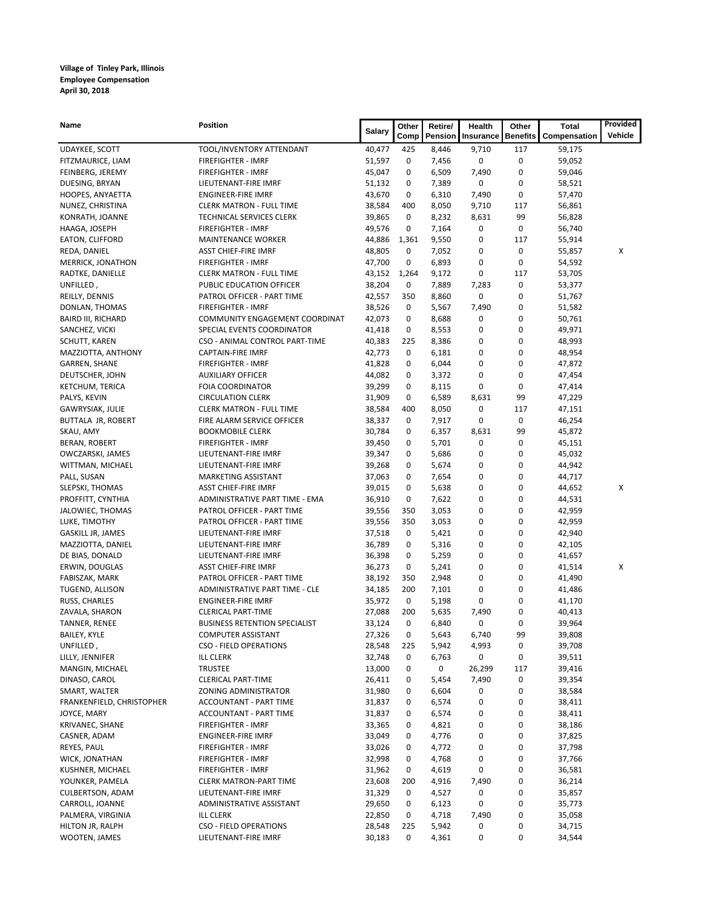| Name                            | Position                                     | <b>Salary</b>    | Other       | Retire/        | <b>Health</b> | Other           | <b>Total</b>     | Provided |
|---------------------------------|----------------------------------------------|------------------|-------------|----------------|---------------|-----------------|------------------|----------|
|                                 |                                              |                  | Comp        | Pension        | Insurance     | <b>Benefits</b> | Compensation     | Vehicle  |
| UDAYKEE, SCOTT                  | TOOL/INVENTORY ATTENDANT                     | 40,477           | 425         | 8,446          | 9,710         | 117             | 59,175           |          |
| FITZMAURICE, LIAM               | <b>FIREFIGHTER - IMRF</b>                    | 51,597           | 0           | 7,456          | 0             | 0               | 59,052           |          |
| FEINBERG, JEREMY                | <b>FIREFIGHTER - IMRF</b>                    | 45,047           | 0           | 6,509          | 7,490         | 0               | 59,046           |          |
| DUESING, BRYAN                  | LIEUTENANT-FIRE IMRF                         | 51,132           | 0           | 7,389          | 0             | 0               | 58,521           |          |
| HOOPES, ANYAETTA                | <b>ENGINEER-FIRE IMRF</b>                    | 43,670           | 0           | 6,310          | 7,490         | 0               | 57,470           |          |
| NUNEZ, CHRISTINA                | <b>CLERK MATRON - FULL TIME</b>              | 38,584           | 400         | 8,050          | 9,710         | 117             | 56,861           |          |
| KONRATH, JOANNE                 | TECHNICAL SERVICES CLERK                     | 39,865           | 0           | 8,232          | 8,631         | 99              | 56,828           |          |
| HAAGA, JOSEPH                   | <b>FIREFIGHTER - IMRF</b>                    | 49,576           | 0           | 7,164          | 0             | 0               | 56,740           |          |
| <b>EATON, CLIFFORD</b>          | <b>MAINTENANCE WORKER</b>                    | 44,886           | 1,361       | 9,550          | 0             | 117             | 55,914           |          |
| REDA, DANIEL                    | <b>ASST CHIEF-FIRE IMRF</b>                  | 48,805           | 0           | 7,052          | 0             | 0               | 55,857           | Х        |
| <b>MERRICK, JONATHON</b>        | <b>FIREFIGHTER - IMRF</b>                    | 47,700           | 0           | 6,893          | 0             | 0               | 54,592           |          |
| RADTKE, DANIELLE                | <b>CLERK MATRON - FULL TIME</b>              | 43,152           | 1,264       | 9,172          | 0             | 117             | 53,705           |          |
| UNFILLED,                       | PUBLIC EDUCATION OFFICER                     | 38,204           | 0           | 7,889          | 7,283         | 0               | 53,377           |          |
| REILLY, DENNIS                  | PATROL OFFICER - PART TIME                   | 42,557           | 350         | 8,860          | 0             | 0               | 51,767           |          |
| DONLAN, THOMAS                  | FIREFIGHTER - IMRF                           | 38,526           | 0           | 5,567          | 7,490         | 0               | 51,582           |          |
| <b>BAIRD III, RICHARD</b>       | COMMUNITY ENGAGEMENT COORDINAT               | 42,073           | 0           | 8,688          | 0             | 0               | 50,761           |          |
| SANCHEZ, VICKI                  | SPECIAL EVENTS COORDINATOR                   | 41,418           | 0           | 8,553          | 0             | 0               | 49,971           |          |
| SCHUTT, KAREN                   | CSO - ANIMAL CONTROL PART-TIME               | 40,383           | 225         | 8,386          | 0             | 0               | 48,993           |          |
| MAZZIOTTA, ANTHONY              | CAPTAIN-FIRE IMRF                            | 42,773           | 0           | 6,181          | 0             | 0               | 48,954           |          |
| GARREN, SHANE                   | <b>FIREFIGHTER - IMRF</b>                    | 41,828           | 0           | 6,044          | 0             | 0               | 47,872           |          |
| DEUTSCHER, JOHN                 | <b>AUXILIARY OFFICER</b>                     | 44,082           | 0           | 3,372          | 0             | 0               | 47,454           |          |
| KETCHUM, TERICA                 | <b>FOIA COORDINATOR</b>                      | 39,299           | 0           | 8,115          | 0             | 0               | 47,414           |          |
| PALYS, KEVIN                    | <b>CIRCULATION CLERK</b>                     | 31,909           | 0           | 6,589          | 8,631         | 99              | 47,229           |          |
| <b>GAWRYSIAK, JULIE</b>         | <b>CLERK MATRON - FULL TIME</b>              | 38,584           | 400         | 8,050          | 0             | 117             | 47,151           |          |
| BUTTALA JR, ROBERT              | FIRE ALARM SERVICE OFFICER                   | 38,337           | 0           | 7,917          | 0             | 0<br>99         | 46,254           |          |
| SKAU, AMY                       | <b>BOOKMOBILE CLERK</b>                      | 30,784           | 0<br>0      | 6,357          | 8,631         | 0               | 45,872           |          |
| BERAN, ROBERT                   | FIREFIGHTER - IMRF                           | 39,450           | 0           | 5,701          | 0<br>0        | 0               | 45,151           |          |
| OWCZARSKI, JAMES                | LIEUTENANT-FIRE IMRF<br>LIEUTENANT-FIRE IMRF | 39,347<br>39,268 | 0           | 5,686<br>5,674 | 0             | 0               | 45,032<br>44,942 |          |
| WITTMAN, MICHAEL<br>PALL, SUSAN | MARKETING ASSISTANT                          | 37,063           | 0           | 7,654          | 0             | 0               | 44,717           |          |
| SLEPSKI, THOMAS                 | <b>ASST CHIEF-FIRE IMRF</b>                  | 39,015           | 0           | 5,638          | 0             | 0               | 44,652           | х        |
| PROFFITT, CYNTHIA               | ADMINISTRATIVE PART TIME - EMA               | 36,910           | 0           | 7,622          | 0             | 0               | 44,531           |          |
| JALOWIEC, THOMAS                | PATROL OFFICER - PART TIME                   | 39,556           | 350         | 3,053          | 0             | 0               | 42,959           |          |
| LUKE, TIMOTHY                   | PATROL OFFICER - PART TIME                   | 39,556           | 350         | 3,053          | 0             | 0               | 42,959           |          |
| GASKILL JR, JAMES               | LIEUTENANT-FIRE IMRF                         | 37,518           | 0           | 5,421          | 0             | 0               | 42,940           |          |
| MAZZIOTTA, DANIEL               | LIEUTENANT-FIRE IMRF                         | 36,789           | 0           | 5,316          | 0             | 0               | 42,105           |          |
| DE BIAS, DONALD                 | LIEUTENANT-FIRE IMRF                         | 36,398           | 0           | 5,259          | 0             | 0               | 41,657           |          |
| ERWIN, DOUGLAS                  | <b>ASST CHIEF-FIRE IMRF</b>                  | 36,273           | 0           | 5,241          | 0             | 0               | 41,514           | х        |
| FABISZAK, MARK                  | PATROL OFFICER - PART TIME                   | 38,192           | 350         | 2,948          | 0             | 0               | 41,490           |          |
| TUGEND, ALLISON                 | ADMINISTRATIVE PART TIME - CLE               | 34,185           | 200         | 7,101          | 0             | 0               | 41,486           |          |
| RUSS, CHARLES                   | <b>ENGINEER-FIRE IMRF</b>                    | 35,972           | 0           | 5,198          | 0             | 0               | 41,170           |          |
| ZAVALA, SHARON                  | <b>CLERICAL PART-TIME</b>                    | 27,088           | 200         | 5,635          | 7,490         | 0               | 40,413           |          |
| TANNER, RENEE                   | <b>BUSINESS RETENTION SPECIALIST</b>         | 33,124           | 0           | 6,840          | 0             | 0               | 39,964           |          |
| BAILEY, KYLE                    | COMPUTER ASSISTANT                           | 27,326           | $\mathbf 0$ | 5,643          | 6,740         | 99              | 39,808           |          |
| UNFILLED,                       | <b>CSO - FIELD OPERATIONS</b>                | 28,548           | 225         | 5,942          | 4,993         | 0               | 39,708           |          |
| LILLY, JENNIFER                 | <b>ILL CLERK</b>                             | 32,748           | 0           | 6,763          | 0             | 0               | 39,511           |          |
| MANGIN, MICHAEL                 | <b>TRUSTEE</b>                               | 13,000           | 0           | 0              | 26,299        | 117             | 39,416           |          |
| DINASO, CAROL                   | <b>CLERICAL PART-TIME</b>                    | 26,411           | 0           | 5,454          | 7,490         | 0               | 39,354           |          |
| SMART, WALTER                   | ZONING ADMINISTRATOR                         | 31,980           | 0           | 6,604          | 0             | 0               | 38,584           |          |
| FRANKENFIELD, CHRISTOPHER       | ACCOUNTANT - PART TIME                       | 31,837           | 0           | 6,574          | 0             | 0               | 38,411           |          |
| JOYCE, MARY                     | ACCOUNTANT - PART TIME                       | 31,837           | 0           | 6,574          | 0             | 0               | 38,411           |          |
| KRIVANEC, SHANE                 | FIREFIGHTER - IMRF                           | 33,365           | 0           | 4,821          | 0             | 0               | 38,186           |          |
| CASNER, ADAM                    | <b>ENGINEER-FIRE IMRF</b>                    | 33,049           | 0           | 4,776          | 0             | 0               | 37,825           |          |
| REYES, PAUL                     | FIREFIGHTER - IMRF                           | 33,026           | 0           | 4,772          | 0             | 0               | 37,798           |          |
| WICK, JONATHAN                  | FIREFIGHTER - IMRF                           | 32,998           | 0           | 4,768          | 0             | 0               | 37,766           |          |
| KUSHNER, MICHAEL                | FIREFIGHTER - IMRF                           | 31,962           | 0           | 4,619          | 0             | 0               | 36,581           |          |
| YOUNKER, PAMELA                 | <b>CLERK MATRON-PART TIME</b>                | 23,608           | 200         | 4,916          | 7,490         | 0               | 36,214           |          |
| CULBERTSON, ADAM                | LIEUTENANT-FIRE IMRF                         | 31,329           | 0           | 4,527          | 0             | 0               | 35,857           |          |
| CARROLL, JOANNE                 | ADMINISTRATIVE ASSISTANT                     | 29,650           | 0           | 6,123          | 0             | 0               | 35,773           |          |
| PALMERA, VIRGINIA               | ILL CLERK                                    | 22,850           | 0           | 4,718          | 7,490         | 0               | 35,058           |          |
| HILTON JR, RALPH                | CSO - FIELD OPERATIONS                       | 28,548           | 225         | 5,942          | 0             | 0               | 34,715           |          |
| WOOTEN, JAMES                   | LIEUTENANT-FIRE IMRF                         | 30,183           | 0           | 4,361          | 0             | 0               | 34,544           |          |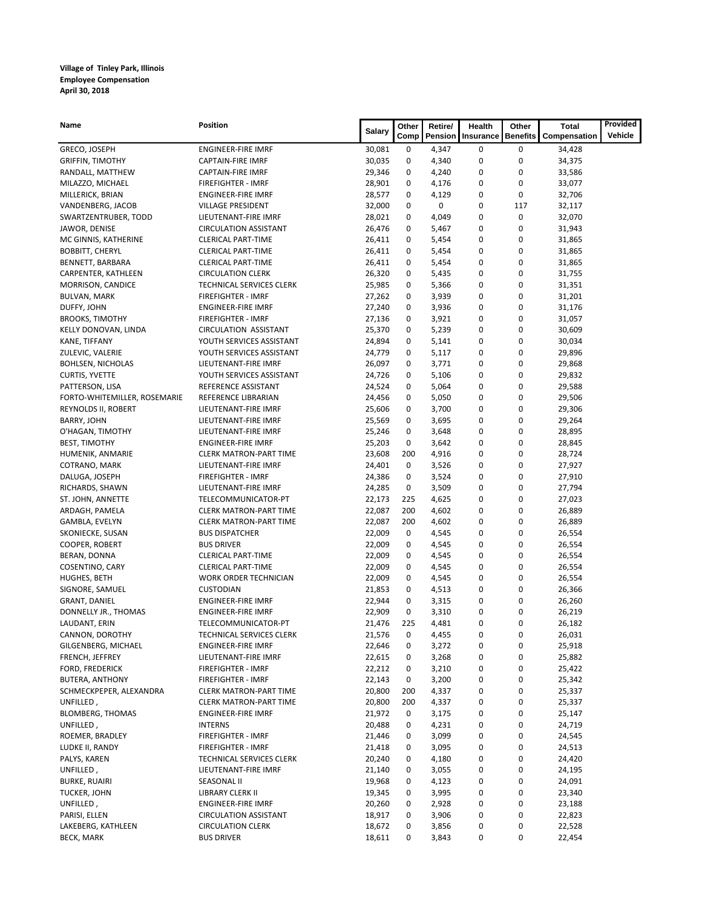| Name                                    | <b>Position</b>                                        | <b>Salary</b>    | Other       | Retire/        | Health    | Other           | <b>Total</b>     | Provided |
|-----------------------------------------|--------------------------------------------------------|------------------|-------------|----------------|-----------|-----------------|------------------|----------|
|                                         |                                                        |                  | Comp        | Pension        | Insurance | <b>Benefits</b> | Compensation     | Vehicle  |
| GRECO, JOSEPH                           | <b>ENGINEER-FIRE IMRF</b>                              | 30,081           | 0           | 4,347          | 0         | 0               | 34,428           |          |
| <b>GRIFFIN, TIMOTHY</b>                 | <b>CAPTAIN-FIRE IMRF</b>                               | 30,035           | 0           | 4,340          | 0         | 0               | 34,375           |          |
| RANDALL, MATTHEW                        | <b>CAPTAIN-FIRE IMRF</b>                               | 29,346           | 0           | 4,240          | 0         | 0               | 33,586           |          |
| MILAZZO, MICHAEL                        | <b>FIREFIGHTER - IMRF</b>                              | 28,901           | 0           | 4,176          | 0         | 0               | 33,077           |          |
| MILLERICK, BRIAN                        | <b>ENGINEER-FIRE IMRF</b>                              | 28,577           | 0           | 4,129          | 0         | 0               | 32,706           |          |
| VANDENBERG, JACOB                       | <b>VILLAGE PRESIDENT</b>                               | 32,000           | 0           | 0              | 0         | 117             | 32,117           |          |
| SWARTZENTRUBER, TODD                    | LIEUTENANT-FIRE IMRF                                   | 28,021           | 0           | 4,049          | 0         | 0               | 32,070           |          |
| JAWOR, DENISE                           | <b>CIRCULATION ASSISTANT</b>                           | 26,476           | 0           | 5,467          | 0         | 0               | 31,943           |          |
| MC GINNIS, KATHERINE                    | <b>CLERICAL PART-TIME</b>                              | 26,411           | 0           | 5,454          | 0         | 0<br>0          | 31,865           |          |
| <b>BOBBITT, CHERYL</b>                  | <b>CLERICAL PART-TIME</b><br><b>CLERICAL PART-TIME</b> | 26,411           | 0<br>0      | 5,454<br>5,454 | 0<br>0    | 0               | 31,865           |          |
| BENNETT, BARBARA<br>CARPENTER, KATHLEEN | <b>CIRCULATION CLERK</b>                               | 26,411<br>26,320 | 0           | 5,435          | 0         | 0               | 31,865<br>31,755 |          |
| MORRISON, CANDICE                       | TECHNICAL SERVICES CLERK                               | 25,985           | 0           | 5,366          | 0         | 0               | 31,351           |          |
| <b>BULVAN, MARK</b>                     | FIREFIGHTER - IMRF                                     | 27,262           | 0           | 3,939          | 0         | 0               | 31,201           |          |
| DUFFY, JOHN                             | ENGINEER-FIRE IMRF                                     | 27,240           | 0           | 3,936          | 0         | 0               | 31,176           |          |
| <b>BROOKS, TIMOTHY</b>                  | FIREFIGHTER - IMRF                                     | 27,136           | 0           | 3,921          | 0         | 0               | 31,057           |          |
| KELLY DONOVAN, LINDA                    | <b>CIRCULATION ASSISTANT</b>                           | 25,370           | 0           | 5,239          | 0         | 0               | 30,609           |          |
| KANE, TIFFANY                           | YOUTH SERVICES ASSISTANT                               | 24,894           | 0           | 5,141          | 0         | 0               | 30,034           |          |
| ZULEVIC, VALERIE                        | YOUTH SERVICES ASSISTANT                               | 24,779           | 0           | 5,117          | 0         | 0               | 29,896           |          |
| <b>BOHLSEN, NICHOLAS</b>                | LIEUTENANT-FIRE IMRF                                   | 26,097           | 0           | 3,771          | 0         | 0               | 29,868           |          |
| <b>CURTIS, YVETTE</b>                   | YOUTH SERVICES ASSISTANT                               | 24,726           | 0           | 5,106          | 0         | 0               | 29,832           |          |
| PATTERSON, LISA                         | REFERENCE ASSISTANT                                    | 24,524           | 0           | 5,064          | 0         | 0               | 29,588           |          |
| FORTO-WHITEMILLER, ROSEMARIE            | REFERENCE LIBRARIAN                                    | 24,456           | 0           | 5,050          | 0         | 0               | 29,506           |          |
| REYNOLDS II, ROBERT                     | LIEUTENANT-FIRE IMRF                                   | 25,606           | 0           | 3,700          | 0         | 0               | 29,306           |          |
| <b>BARRY, JOHN</b>                      | LIEUTENANT-FIRE IMRF                                   | 25,569           | 0           | 3,695          | 0         | 0               | 29,264           |          |
| O'HAGAN, TIMOTHY                        | LIEUTENANT-FIRE IMRF                                   | 25,246           | 0           | 3,648          | 0         | 0               | 28,895           |          |
| <b>BEST, TIMOTHY</b>                    | <b>ENGINEER-FIRE IMRF</b>                              | 25,203           | 0           | 3,642          | 0         | 0               | 28,845           |          |
| HUMENIK, ANMARIE                        | <b>CLERK MATRON-PART TIME</b>                          | 23,608           | 200         | 4,916          | 0         | 0               | 28,724           |          |
| COTRANO, MARK                           | LIEUTENANT-FIRE IMRF                                   | 24,401           | 0           | 3,526          | 0         | 0               | 27,927           |          |
| DALUGA, JOSEPH                          | <b>FIREFIGHTER - IMRF</b>                              | 24,386           | 0           | 3,524          | 0         | 0               | 27,910           |          |
| RICHARDS, SHAWN                         | LIEUTENANT-FIRE IMRF                                   | 24,285           | 0           | 3,509          | 0         | 0               | 27,794           |          |
| ST. JOHN, ANNETTE                       | TELECOMMUNICATOR-PT                                    | 22,173           | 225         | 4,625          | 0         | 0               | 27,023           |          |
| ARDAGH, PAMELA                          | <b>CLERK MATRON-PART TIME</b>                          | 22,087           | 200         | 4,602          | 0         | 0               | 26,889           |          |
| GAMBLA, EVELYN                          | <b>CLERK MATRON-PART TIME</b>                          | 22,087           | 200         | 4,602          | 0         | 0               | 26,889           |          |
| SKONIECKE, SUSAN                        | <b>BUS DISPATCHER</b>                                  | 22,009           | 0           | 4,545          | 0         | 0               | 26,554           |          |
| COOPER, ROBERT                          | <b>BUS DRIVER</b>                                      | 22,009           | 0           | 4,545          | 0         | 0               | 26,554           |          |
| BERAN, DONNA                            | <b>CLERICAL PART-TIME</b>                              | 22,009           | 0           | 4,545          | 0         | 0               | 26,554           |          |
| COSENTINO, CARY                         | <b>CLERICAL PART-TIME</b>                              | 22,009           | 0           | 4,545          | 0         | 0               | 26,554           |          |
| HUGHES, BETH                            | <b>WORK ORDER TECHNICIAN</b>                           | 22,009           | 0           | 4,545          | 0         | 0               | 26,554           |          |
| SIGNORE, SAMUEL                         | <b>CUSTODIAN</b>                                       | 21,853           | 0           | 4,513          | 0         | 0               | 26,366           |          |
| <b>GRANT, DANIEL</b>                    | <b>ENGINEER-FIRE IMRF</b>                              | 22,944           | 0           | 3,315          | 0         | 0               | 26,260           |          |
| DONNELLY JR., THOMAS                    | <b>ENGINEER-FIRE IMRF</b>                              | 22,909           | 0           | 3,310          | 0         | 0               | 26,219           |          |
| LAUDANT, ERIN                           | TELECOMMUNICATOR-PT                                    | 21,476           | 225         | 4,481          | 0         | 0               | 26,182           |          |
| CANNON, DOROTHY                         | TECHNICAL SERVICES CLERK                               | 21,576           | $\mathbf 0$ | 4,455          |           | 0               | 26,031           |          |
| GILGENBERG, MICHAEL                     | <b>ENGINEER-FIRE IMRF</b>                              | 22,646           | 0           | 3,272          | 0         | 0               | 25,918           |          |
| FRENCH, JEFFREY                         | LIEUTENANT-FIRE IMRF                                   | 22,615           | 0           | 3,268          | 0         | 0               | 25,882           |          |
| FORD, FREDERICK                         | FIREFIGHTER - IMRF                                     | 22,212           | 0           | 3,210          | 0         | 0               | 25,422           |          |
| <b>BUTERA, ANTHONY</b>                  | FIREFIGHTER - IMRF                                     | 22,143           | 0           | 3,200          | 0         | 0               | 25,342           |          |
| SCHMECKPEPER, ALEXANDRA                 | <b>CLERK MATRON-PART TIME</b>                          | 20,800           | 200         | 4,337          | 0         | 0               | 25,337           |          |
| UNFILLED,                               | <b>CLERK MATRON-PART TIME</b>                          | 20,800           | 200         | 4,337          | 0         | 0               | 25,337           |          |
| <b>BLOMBERG, THOMAS</b>                 | ENGINEER-FIRE IMRF                                     | 21,972           | 0           | 3,175          | 0         | 0               | 25,147           |          |
| UNFILLED,                               | <b>INTERNS</b>                                         | 20,488<br>21,446 | 0<br>0      | 4,231          | 0<br>0    | 0<br>0          | 24,719           |          |
| ROEMER, BRADLEY<br>LUDKE II, RANDY      | FIREFIGHTER - IMRF<br>FIREFIGHTER - IMRF               | 21,418           | 0           | 3,099<br>3,095 | 0         | 0               | 24,545<br>24,513 |          |
|                                         |                                                        |                  | 0           |                | 0         | 0               |                  |          |
| PALYS, KAREN<br>UNFILLED,               | TECHNICAL SERVICES CLERK<br>LIEUTENANT-FIRE IMRF       | 20,240           | 0           | 4,180          | 0         | 0               | 24,420           |          |
| <b>BURKE, RUAIRI</b>                    | SEASONAL II                                            | 21,140<br>19,968 | 0           | 3,055<br>4,123 | 0         | 0               | 24,195<br>24,091 |          |
| TUCKER, JOHN                            | LIBRARY CLERK II                                       | 19,345           | 0           | 3,995          | 0         | 0               | 23,340           |          |
| UNFILLED,                               | ENGINEER-FIRE IMRF                                     | 20,260           | 0           | 2,928          | 0         | 0               | 23,188           |          |
| PARISI, ELLEN                           | <b>CIRCULATION ASSISTANT</b>                           | 18,917           | 0           | 3,906          | 0         | 0               | 22,823           |          |
| LAKEBERG, KATHLEEN                      | <b>CIRCULATION CLERK</b>                               | 18,672           | 0           | 3,856          | 0         | 0               | 22,528           |          |
| BECK, MARK                              | <b>BUS DRIVER</b>                                      | 18,611           | 0           | 3,843          | 0         | 0               | 22,454           |          |
|                                         |                                                        |                  |             |                |           |                 |                  |          |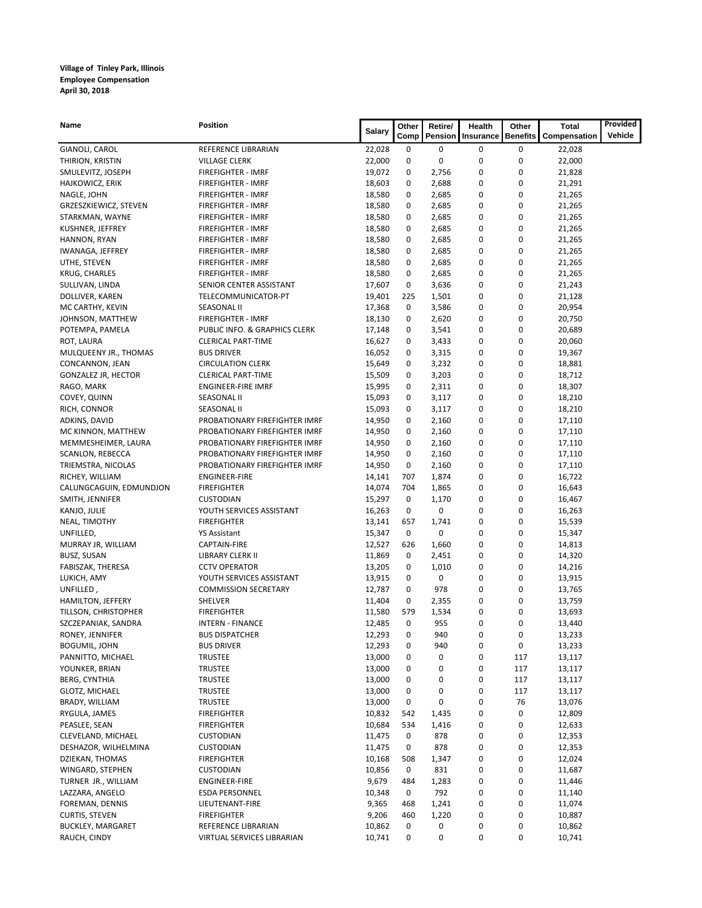| Name                                | <b>Position</b>                                       | <b>Salary</b>    | Other    | Retire/        | Health    | Other           | <b>Total</b>     | Provided |
|-------------------------------------|-------------------------------------------------------|------------------|----------|----------------|-----------|-----------------|------------------|----------|
|                                     |                                                       |                  | Comp     | Pension        | Insurance | <b>Benefits</b> | Compensation     | Vehicle  |
| GIANOLI, CAROL                      | REFERENCE LIBRARIAN                                   | 22,028           | 0        | 0              | 0         | 0               | 22,028           |          |
| THIRION, KRISTIN                    | <b>VILLAGE CLERK</b>                                  | 22,000           | 0        | 0              | 0         | 0               | 22,000           |          |
| SMULEVITZ, JOSEPH                   | <b>FIREFIGHTER - IMRF</b>                             | 19,072           | 0        | 2,756          | 0         | 0               | 21,828           |          |
| HAJKOWICZ, ERIK                     | <b>FIREFIGHTER - IMRF</b>                             | 18,603           | 0        | 2,688          | 0         | 0               | 21,291           |          |
| NAGLE, JOHN                         | <b>FIREFIGHTER - IMRF</b>                             | 18,580           | 0        | 2,685          | 0         | 0               | 21,265           |          |
| GRZESZKIEWICZ, STEVEN               | FIREFIGHTER - IMRF                                    | 18,580           | 0        | 2,685          | 0         | 0               | 21,265           |          |
| STARKMAN, WAYNE                     | <b>FIREFIGHTER - IMRF</b>                             | 18,580           | 0        | 2,685          | 0         | 0               | 21,265           |          |
| KUSHNER, JEFFREY                    | FIREFIGHTER - IMRF                                    | 18,580           | 0        | 2,685          | 0         | 0               | 21,265           |          |
| HANNON, RYAN                        | FIREFIGHTER - IMRF                                    | 18,580           | 0        | 2,685          | 0         | 0               | 21,265           |          |
| IWANAGA, JEFFREY                    | <b>FIREFIGHTER - IMRF</b>                             | 18,580           | 0        | 2,685          | 0         | 0               | 21,265           |          |
| UTHE, STEVEN                        | <b>FIREFIGHTER - IMRF</b>                             | 18,580           | 0        | 2,685          | 0         | 0               | 21,265           |          |
| <b>KRUG, CHARLES</b>                | <b>FIREFIGHTER - IMRF</b>                             | 18,580           | 0        | 2,685          | 0         | 0               | 21,265           |          |
| SULLIVAN, LINDA                     | SENIOR CENTER ASSISTANT                               | 17,607           | 0        | 3,636          | 0         | 0<br>0          | 21,243           |          |
| DOLLIVER, KAREN                     | TELECOMMUNICATOR-PT                                   | 19,401           | 225<br>0 | 1,501          | 0         | 0               | 21,128           |          |
| MC CARTHY, KEVIN                    | <b>SEASONAL II</b>                                    | 17,368           | 0        | 3,586          | 0<br>0    | 0               | 20,954           |          |
| JOHNSON, MATTHEW                    | FIREFIGHTER - IMRF                                    | 18,130           | 0        | 2,620          | 0         | 0               | 20,750           |          |
| POTEMPA, PAMELA                     | PUBLIC INFO. & GRAPHICS CLERK                         | 17,148           | 0        | 3,541          |           | 0               | 20,689           |          |
| ROT, LAURA                          | <b>CLERICAL PART-TIME</b>                             | 16,627           | 0        | 3,433          | 0<br>0    | 0               | 20,060           |          |
| MULQUEENY JR., THOMAS               | <b>BUS DRIVER</b>                                     | 16,052           | 0        | 3,315<br>3,232 | 0         | 0               | 19,367           |          |
| CONCANNON, JEAN                     | <b>CIRCULATION CLERK</b><br><b>CLERICAL PART-TIME</b> | 15,649           | 0        |                |           | 0               | 18,881<br>18,712 |          |
| <b>GONZALEZ JR, HECTOR</b>          |                                                       | 15,509           | 0        | 3,203          | 0         | 0               |                  |          |
| RAGO, MARK<br>COVEY, QUINN          | <b>ENGINEER-FIRE IMRF</b><br><b>SEASONAL II</b>       | 15,995           | 0        | 2,311          | 0<br>0    | 0               | 18,307           |          |
|                                     |                                                       | 15,093           |          | 3,117          |           | 0               | 18,210           |          |
| RICH, CONNOR                        | <b>SEASONAL II</b><br>PROBATIONARY FIREFIGHTER IMRF   | 15,093<br>14,950 | 0<br>0   | 3,117<br>2,160 | 0<br>0    | 0               | 18,210           |          |
| ADKINS, DAVID<br>MC KINNON, MATTHEW | PROBATIONARY FIREFIGHTER IMRF                         | 14,950           | 0        | 2,160          | 0         | 0               | 17,110<br>17,110 |          |
| MEMMESHEIMER, LAURA                 | PROBATIONARY FIREFIGHTER IMRF                         | 14,950           | 0        | 2,160          | 0         | 0               | 17,110           |          |
| SCANLON, REBECCA                    | PROBATIONARY FIREFIGHTER IMRF                         | 14,950           | 0        | 2,160          | 0         | 0               | 17,110           |          |
| TRIEMSTRA, NICOLAS                  | PROBATIONARY FIREFIGHTER IMRF                         | 14,950           | 0        | 2,160          | 0         | 0               | 17,110           |          |
| RICHEY, WILLIAM                     | <b>ENGINEER-FIRE</b>                                  | 14,141           | 707      | 1,874          | 0         | 0               | 16,722           |          |
| CALUNGCAGUIN, EDMUNDJON             | <b>FIREFIGHTER</b>                                    | 14,074           | 704      | 1,865          | 0         | 0               | 16,643           |          |
| SMITH, JENNIFER                     | <b>CUSTODIAN</b>                                      | 15,297           | 0        | 1,170          | 0         | 0               | 16,467           |          |
| KANJO, JULIE                        | YOUTH SERVICES ASSISTANT                              | 16,263           | 0        | 0              | 0         | 0               | 16,263           |          |
| NEAL, TIMOTHY                       | <b>FIREFIGHTER</b>                                    | 13,141           | 657      | 1,741          | 0         | 0               | 15,539           |          |
| UNFILLED,                           | YS Assistant                                          | 15,347           | 0        | 0              | 0         | 0               | 15,347           |          |
| MURRAY JR, WILLIAM                  | CAPTAIN-FIRE                                          | 12,527           | 626      | 1,660          | 0         | 0               | 14,813           |          |
| <b>BUSZ, SUSAN</b>                  | LIBRARY CLERK II                                      | 11,869           | 0        | 2,451          | 0         | 0               | 14,320           |          |
| FABISZAK, THERESA                   | <b>CCTV OPERATOR</b>                                  | 13,205           | 0        | 1,010          | 0         | 0               | 14,216           |          |
| LUKICH, AMY                         | YOUTH SERVICES ASSISTANT                              | 13,915           | 0        | 0              | 0         | 0               | 13,915           |          |
| UNFILLED,                           | <b>COMMISSION SECRETARY</b>                           | 12,787           | 0        | 978            | 0         | 0               | 13,765           |          |
| HAMILTON, JEFFERY                   | SHELVER                                               | 11,404           | 0        | 2,355          | 0         | 0               | 13,759           |          |
| TILLSON, CHRISTOPHER                | <b>FIREFIGHTER</b>                                    | 11,580           | 579      | 1,534          | 0         | 0               | 13,693           |          |
| SZCZEPANIAK, SANDRA                 | INTERN - FINANCE                                      | 12,485           | 0        | 955            | 0         | 0               | 13,440           |          |
| RONEY, JENNIFER                     | <b>BUS DISPATCHER</b>                                 | 12,293           | 0        | 940            | 0         | 0               | 13,233           |          |
| <b>BOGUMIL, JOHN</b>                | <b>BUS DRIVER</b>                                     | 12,293           | 0        | 940            | 0         | 0               | 13,233           |          |
| PANNITTO, MICHAEL                   | <b>TRUSTEE</b>                                        | 13,000           | 0        | 0              | 0         | 117             | 13,117           |          |
| YOUNKER, BRIAN                      | <b>TRUSTEE</b>                                        | 13,000           | 0        | 0              | 0         | 117             | 13,117           |          |
| <b>BERG, CYNTHIA</b>                | <b>TRUSTEE</b>                                        | 13,000           | 0        | 0              | 0         | 117             | 13,117           |          |
| <b>GLOTZ, MICHAEL</b>               | TRUSTEE                                               | 13,000           | 0        | 0              | 0         | 117             | 13,117           |          |
| BRADY, WILLIAM                      | TRUSTEE                                               | 13,000           | 0        | 0              | 0         | 76              | 13,076           |          |
| RYGULA, JAMES                       | <b>FIREFIGHTER</b>                                    | 10,832           | 542      | 1,435          | 0         | 0               | 12,809           |          |
| PEASLEE, SEAN                       | <b>FIREFIGHTER</b>                                    | 10,684           | 534      | 1,416          | 0         | 0               | 12,633           |          |
| CLEVELAND, MICHAEL                  | <b>CUSTODIAN</b>                                      | 11,475           | 0        | 878            | 0         | 0               | 12,353           |          |
| DESHAZOR, WILHELMINA                | CUSTODIAN                                             | 11,475           | 0        | 878            | 0         | 0               | 12,353           |          |
| DZIEKAN, THOMAS                     | <b>FIREFIGHTER</b>                                    | 10,168           | 508      | 1,347          | 0         | 0               | 12,024           |          |
| WINGARD, STEPHEN                    | <b>CUSTODIAN</b>                                      | 10,856           | 0        | 831            | 0         | 0               | 11,687           |          |
| TURNER JR., WILLIAM                 | ENGINEER-FIRE                                         | 9,679            | 484      | 1,283          | 0         | 0               | 11,446           |          |
| LAZZARA, ANGELO                     | ESDA PERSONNEL                                        | 10,348           | 0        | 792            | 0         | 0               | 11,140           |          |
| FOREMAN, DENNIS                     | LIEUTENANT-FIRE                                       | 9,365            | 468      | 1,241          | 0         | 0               | 11,074           |          |
| <b>CURTIS, STEVEN</b>               | <b>FIREFIGHTER</b>                                    | 9,206            | 460      | 1,220          | 0         | 0               | 10,887           |          |
| <b>BUCKLEY, MARGARET</b>            | REFERENCE LIBRARIAN                                   | 10,862           | 0        | 0              | 0         | 0               | 10,862           |          |
| RAUCH, CINDY                        | VIRTUAL SERVICES LIBRARIAN                            | 10,741           | 0        | 0              | 0         | 0               | 10,741           |          |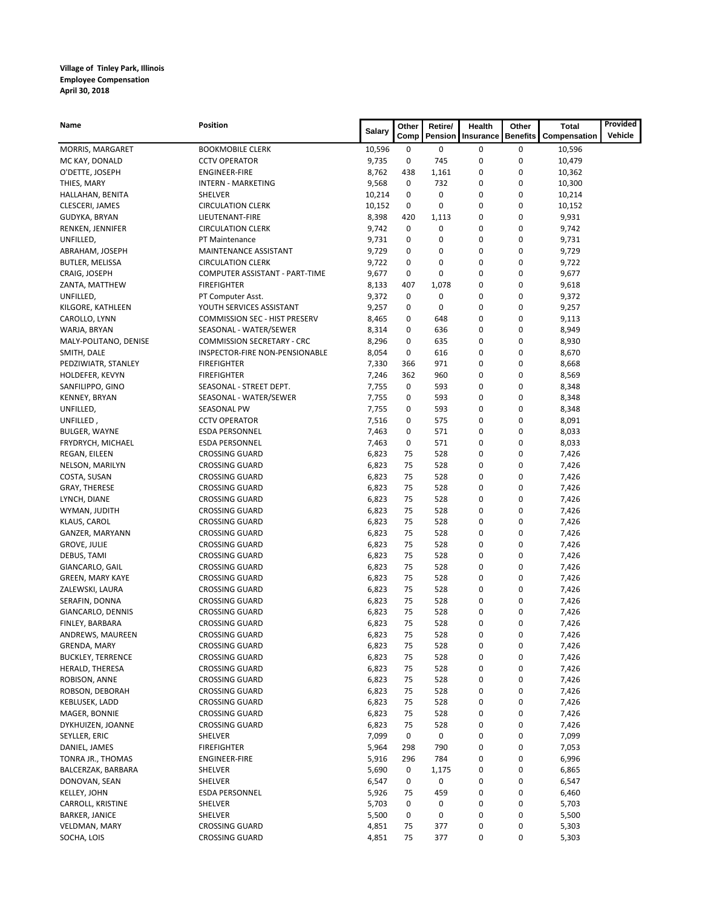| Name                     | Position                             | <b>Salary</b> | Other | Retire/  | Health    | Other           | Total        | Provided |
|--------------------------|--------------------------------------|---------------|-------|----------|-----------|-----------------|--------------|----------|
|                          |                                      |               | Comp  | Pension  | Insurance | <b>Benefits</b> | Compensation | Vehicle  |
| MORRIS, MARGARET         | <b>BOOKMOBILE CLERK</b>              | 10,596        | 0     | 0        | 0         | 0               | 10,596       |          |
| MC KAY, DONALD           | <b>CCTV OPERATOR</b>                 | 9,735         | 0     | 745      | 0         | $\pmb{0}$       | 10,479       |          |
| O'DETTE, JOSEPH          | <b>ENGINEER-FIRE</b>                 | 8,762         | 438   | 1,161    | 0         | $\bf{0}$        | 10,362       |          |
| THIES, MARY              | <b>INTERN - MARKETING</b>            | 9,568         | 0     | 732      | 0         | 0               | 10,300       |          |
| HALLAHAN, BENITA         | SHELVER                              | 10,214        | 0     | $\bf{0}$ | 0         | $\bf{0}$        | 10,214       |          |
| CLESCERI, JAMES          | <b>CIRCULATION CLERK</b>             | 10,152        | 0     | 0        | 0         | $\bf{0}$        | 10,152       |          |
| GUDYKA, BRYAN            | LIEUTENANT-FIRE                      | 8,398         | 420   | 1,113    | 0         | $\bf{0}$        | 9,931        |          |
| RENKEN, JENNIFER         | <b>CIRCULATION CLERK</b>             | 9,742         | 0     | 0        | 0         | 0               | 9,742        |          |
| UNFILLED,                | PT Maintenance                       | 9,731         | 0     | 0        | 0         | $\bf{0}$        | 9,731        |          |
| ABRAHAM, JOSEPH          | MAINTENANCE ASSISTANT                | 9,729         | 0     | 0        | 0         | 0               | 9,729        |          |
| BUTLER, MELISSA          | <b>CIRCULATION CLERK</b>             | 9,722         | 0     | 0        | 0         | $\bf{0}$        | 9,722        |          |
| CRAIG, JOSEPH            | COMPUTER ASSISTANT - PART-TIME       | 9,677         | 0     | 0        | 0         | 0               | 9,677        |          |
| ZANTA, MATTHEW           | <b>FIREFIGHTER</b>                   | 8,133         | 407   | 1,078    | 0         | $\bf{0}$        | 9,618        |          |
| UNFILLED,                | PT Computer Asst.                    | 9,372         | 0     | 0        | 0         | $\bf{0}$        | 9,372        |          |
| KILGORE, KATHLEEN        | YOUTH SERVICES ASSISTANT             | 9,257         | 0     | 0        | 0         | 0               | 9,257        |          |
| CAROLLO, LYNN            | <b>COMMISSION SEC - HIST PRESERV</b> | 8,465         | 0     | 648      | 0         | 0               | 9,113        |          |
| WARJA, BRYAN             | SEASONAL - WATER/SEWER               | 8,314         | 0     | 636      | 0         | $\bf{0}$        | 8,949        |          |
| MALY-POLITANO, DENISE    | <b>COMMISSION SECRETARY - CRC</b>    | 8,296         | 0     | 635      | 0         | $\bf{0}$        | 8,930        |          |
| SMITH, DALE              | INSPECTOR-FIRE NON-PENSIONABLE       | 8,054         | 0     | 616      | 0         | 0               | 8,670        |          |
| PEDZIWIATR, STANLEY      | <b>FIREFIGHTER</b>                   | 7,330         | 366   | 971      | 0         | $\bf{0}$        | 8,668        |          |
| HOLDEFER, KEVYN          | <b>FIREFIGHTER</b>                   | 7,246         | 362   | 960      | 0         | 0               | 8,569        |          |
| SANFILIPPO, GINO         | SEASONAL - STREET DEPT.              | 7,755         | 0     | 593      | 0         | 0               | 8,348        |          |
| KENNEY, BRYAN            | SEASONAL - WATER/SEWER               | 7,755         | 0     | 593      | 0         | 0               | 8,348        |          |
| UNFILLED,                | SEASONAL PW                          | 7,755         | 0     | 593      | 0         | 0               | 8,348        |          |
| UNFILLED,                | <b>CCTV OPERATOR</b>                 | 7,516         | 0     | 575      | 0         | $\bf{0}$        | 8,091        |          |
| BULGER, WAYNE            | <b>ESDA PERSONNEL</b>                | 7,463         | 0     | 571      | 0         | 0               | 8,033        |          |
| FRYDRYCH, MICHAEL        | <b>ESDA PERSONNEL</b>                | 7,463         | 0     | 571      | 0         | 0               | 8,033        |          |
| REGAN, EILEEN            | <b>CROSSING GUARD</b>                | 6,823         | 75    | 528      | 0         | $\bf{0}$        | 7,426        |          |
| NELSON, MARILYN          | <b>CROSSING GUARD</b>                | 6,823         | 75    | 528      | 0         | $\bf{0}$        | 7,426        |          |
| COSTA, SUSAN             | <b>CROSSING GUARD</b>                | 6,823         | 75    | 528      | 0         | 0               | 7,426        |          |
| <b>GRAY, THERESE</b>     | <b>CROSSING GUARD</b>                | 6,823         | 75    | 528      | 0         | $\bf{0}$        | 7,426        |          |
| LYNCH, DIANE             | <b>CROSSING GUARD</b>                | 6,823         | 75    | 528      | 0         | $\bf{0}$        | 7,426        |          |
| WYMAN, JUDITH            | <b>CROSSING GUARD</b>                | 6,823         | 75    | 528      | 0         | 0               | 7,426        |          |
| KLAUS, CAROL             | <b>CROSSING GUARD</b>                | 6,823         | 75    | 528      | 0         | $\bf{0}$        | 7,426        |          |
| GANZER, MARYANN          | <b>CROSSING GUARD</b>                | 6,823         | 75    | 528      | 0         | $\bf{0}$        | 7,426        |          |
| <b>GROVE, JULIE</b>      | <b>CROSSING GUARD</b>                | 6,823         | 75    | 528      | 0         | 0               | 7,426        |          |
| DEBUS, TAMI              | <b>CROSSING GUARD</b>                | 6,823         | 75    | 528      | 0         | 0               | 7,426        |          |
| GIANCARLO, GAIL          | <b>CROSSING GUARD</b>                | 6,823         | 75    | 528      | 0         | 0               | 7,426        |          |
| GREEN, MARY KAYE         | <b>CROSSING GUARD</b>                | 6,823         | 75    | 528      | 0         | $\bf{0}$        | 7,426        |          |
| ZALEWSKI, LAURA          | <b>CROSSING GUARD</b>                | 6,823         | 75    | 528      | 0         | $\bf{0}$        | 7,426        |          |
| SERAFIN, DONNA           | <b>CROSSING GUARD</b>                | 6,823         | 75    | 528      | 0         | 0               | 7,426        |          |
| GIANCARLO, DENNIS        | <b>CROSSING GUARD</b>                | 6,823         | 75    | 528      | 0         | $\bf{0}$        | 7,426        |          |
| FINLEY, BARBARA          | <b>CROSSING GUARD</b>                | 6,823         | 75    | 528      | 0         | 0               | 7,426        |          |
| ANDREWS, MAUREEN         | CROSSING GUARD                       | 6,823         | 75    | 528      | 0         | 0               | 7,426        |          |
| GRENDA, MARY             | <b>CROSSING GUARD</b>                | 6,823         | 75    | 528      | 0         | 0               | 7,426        |          |
| <b>BUCKLEY, TERRENCE</b> | <b>CROSSING GUARD</b>                | 6,823         | 75    | 528      | 0         | 0               | 7,426        |          |
| HERALD, THERESA          | <b>CROSSING GUARD</b>                | 6,823         | 75    | 528      | 0         | 0               | 7,426        |          |
| ROBISON, ANNE            | <b>CROSSING GUARD</b>                | 6,823         | 75    | 528      | 0         | 0               | 7,426        |          |
| ROBSON, DEBORAH          | <b>CROSSING GUARD</b>                | 6,823         | 75    | 528      | 0         | 0               | 7,426        |          |
| KEBLUSEK, LADD           | <b>CROSSING GUARD</b>                | 6,823         | 75    | 528      | 0         | 0               | 7,426        |          |
| MAGER, BONNIE            | <b>CROSSING GUARD</b>                | 6,823         | 75    | 528      | 0         | 0               | 7,426        |          |
| DYKHUIZEN, JOANNE        | <b>CROSSING GUARD</b>                | 6,823         | 75    | 528      | 0         | 0               | 7,426        |          |
| SEYLLER, ERIC            | SHELVER                              | 7,099         | 0     | 0        | 0         | 0               | 7,099        |          |
| DANIEL, JAMES            | <b>FIREFIGHTER</b>                   | 5,964         | 298   | 790      | 0         | 0               | 7,053        |          |
| TONRA JR., THOMAS        | ENGINEER-FIRE                        | 5,916         | 296   | 784      | 0         | 0               | 6,996        |          |
| BALCERZAK, BARBARA       | SHELVER                              | 5,690         | 0     | 1,175    | 0         | 0               | 6,865        |          |
| DONOVAN, SEAN            | SHELVER                              | 6,547         | 0     | 0        | 0         | 0               | 6,547        |          |
| <b>KELLEY, JOHN</b>      | ESDA PERSONNEL                       | 5,926         | 75    | 459      | 0         | 0               | 6,460        |          |
| CARROLL, KRISTINE        | SHELVER                              | 5,703         | 0     | 0        | 0         | 0               | 5,703        |          |
| <b>BARKER, JANICE</b>    | SHELVER                              | 5,500         | 0     | 0        | 0         | 0               | 5,500        |          |
| VELDMAN, MARY            | <b>CROSSING GUARD</b>                | 4,851         | 75    | 377      | 0         | 0               | 5,303        |          |
| SOCHA, LOIS              | <b>CROSSING GUARD</b>                | 4,851         | 75    | 377      | 0         | 0               | 5,303        |          |